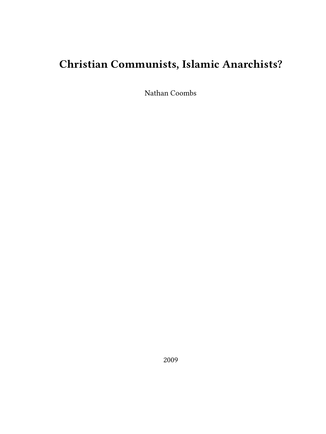# **Christian Communists, Islamic Anarchists?**

Nathan Coombs

2009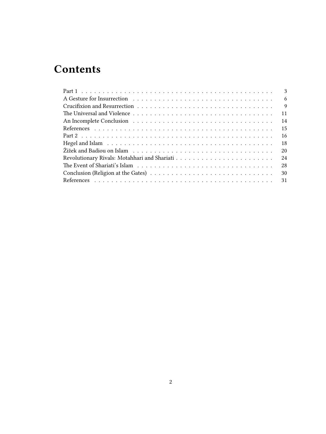# **Contents**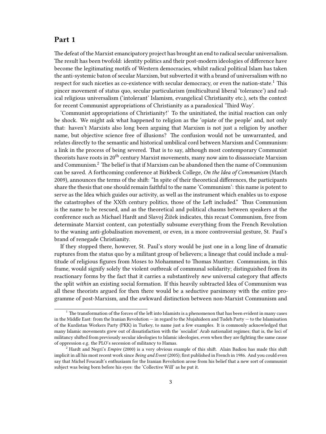# <span id="page-2-0"></span>**Part 1**

The defeat of the Marxist emancipatory project has brought an end to radical secular universalism. The result has been twofold: identity politics and their post-modern ideologies of difference have become the legitimating motifs of Western democracies, whilst radical political Islam has taken the anti-systemic baton of secular Marxism, but subverted it with a brand of universalism with no respect for such niceties as co-existence with secular democracy, or even the nation-state.<sup>1</sup> This pincer movement of status quo, secular particularism (multicultural liberal 'tolerance') and radical religious universalism ('intolerant' Islamism, evangelical Christianity etc.), sets the context for recent Communist appropriations of Christianity as a paradoxical 'Third Way'.

'Communist appropriations of Christianity!' To the uninitiated, the initial reaction can only be shock. We might ask what happened to religion as the 'opiate of the people' and, not only that: haven't Marxists also long been arguing that Marxism is not just a religion by another name, but objective science free of illusions? The confusion would not be unwarranted, and relates directly to the semantic and historical umbilical cord between Marxism and Communism: a link in the process of being severed. That is to say, although most contemporary Communist theorists have roots in  $20^{th}$  century Marxist movements, many now aim to disassociate Marxism and Communism.<sup>2</sup> The belief is that if Marxism can be abandoned then the name of Communism can be saved. A forthcoming conference at Birkbeck College, *On the Idea of Communism* (March 2009), announces the terms of the shift: "In spite of their theoretical differences, the participants share the thesis that one should remain faithful to the name 'Communism': this name is potent to serve as the Idea which guides our activity, as well as the instrument which enables us to expose the catastrophes of the XXth century politics, those of the Left included." Thus Communism is the name to be rescued, and as the theoretical and political chasms between speakers at the conference such as Michael Hardt and Slavoj Žižek indicates, this recast Communism, free from determinate Marxist content, can potentially subsume everything from the French Revolution to the waning anti-globalisation movement, or even, in a more controversial gesture, St. Paul's brand of renegade Christianity.

If they stopped there, however, St. Paul's story would be just one in a long line of dramatic ruptures from the status quo by a militant group of believers; a lineage that could include a multitude of religious figures from Moses to Mohammed to Thomas Muntzer. Communism, in this frame, would signify solely the violent outbreak of communal solidarity; distinguished from its reactionary forms by the fact that it carries a substantively *new* universal category that affects the split *within* an existing social formation. If this heavily subtracted Idea of Communism was all these theorists argued for then there would be a seductive parsimony with the entire programme of post-Marxism, and the awkward distinction between non-Marxist Communism and

 $1$  The transformation of the forces of the left into Islamists is a phenomenon that has been evident in many cases in the Middle East: from the Iranian Revolution — in regard to the Mujahideen and Tudeh Party — to the Islamisation of the Kurdistan Workers Party (PKK) in Turkey, to name just a few examples. It is commonly acknowledged that many Islamic movements grew out of dissatisfaction with the 'socialist' Arab nationalist regimes; that is, the loci of militancy shifted from previously secular ideologies to Islamic ideologies, even when they are fighting the same cause of oppression e.g. the PLO's secession of militancy to Hamas.

<sup>2</sup> Hardt and Negri's *Empire* (2000) is a very obvious example of this shift. Alain Badiou has made this shift implicit in all his most recent work since *Being and Event* (2005); first published in French in 1986. And you could even say that Michel Foucault's enthusiasm for the Iranian Revolution arose from his belief that a new sort of communist subject was being born before his eyes: the 'Collective Will' as he put it.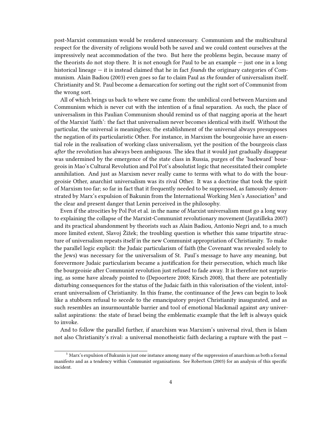post-Marxist communism would be rendered unnecessary. Communism and the multicultural respect for the diversity of religions would both be saved and we could content ourselves at the impressively neat accommodation of the two. But here the problems begin, because many of the theorists do not stop there. It is not enough for Paul to be an example  $-$  just one in a long historical lineage — it is instead claimed that he in fact *founds* the originary categories of Communism. Alain Badiou (2003) even goes so far to claim Paul as *the* founder of universalism itself. Christianity and St. Paul become a demarcation for sorting out the right sort of Communist from the wrong sort.

All of which brings us back to where we came from: the umbilical cord between Marxism and Communism which is never cut with the intention of a final separation. As such, the place of universalism in this Paulian Communism should remind us of that nagging aporia at the heart of the Marxist 'faith': the fact that universalism never becomes identical with itself. Without the particular, the universal is meaningless; the establishment of the universal always presupposes the negation of its particularistic Other. For instance, in Marxism the bourgeoisie have an essential role in the realisation of working class universalism, yet the position of the bourgeois class *after* the revolution has always been ambiguous. The idea that it would just gradually disappear was undermined by the emergence of the state class in Russia, purges of the 'backward' bourgeois in Mao's Cultural Revolution and Pol Pot's absolutist logic that necessitated their complete annihilation. And just as Marxism never really came to terms with what to do with the bourgeoisie Other, anarchist universalism was its rival Other. It was a doctrine that took the spirit of Marxism too far; so far in fact that it frequently needed to be suppressed, as famously demonstrated by Marx's expulsion of Bakunin from the International Working Men's Association $^3$  and the clear and present danger that Lenin perceived in the philosophy.

Even if the atrocities by Pol Pot et al. in the name of Marxist universalism must go a long way to explaining the collapse of the Marxist-Communist revolutionary movement (Jayatilleka 2007) and its practical abandonment by theorists such as Alain Badiou, Antonio Negri and, to a much more limited extent, Slavoj Žižek; the troubling question is whether this same tripartite structure of universalism repeats itself in the new Communist appropriation of Christianity. To make the parallel logic explicit: the Judaic particularism of faith (the Covenant was revealed solely to the Jews) was necessary for the universalism of St. Paul's message to have any meaning, but forevermore Judaic particularism became a justification for their persecution, which much like the bourgeoisie after Communist revolution just refused to fade away. It is therefore not surprising, as some have already pointed to (Depoortere 2008; Kirsch 2008), that there are potentially disturbing consequences for the status of the Judaic faith in this valorisation of the violent, intolerant universalism of Christianity. In this frame, the continuance of the Jews can begin to look like a stubborn refusal to secede to the emancipatory project Christianity inaugurated, and as such resembles an insurmountable barrier and tool of emotional blackmail against *any* universalist aspirations: the state of Israel being the emblematic example that the left is always quick to invoke.

And to follow the parallel further, if anarchism was Marxism's universal rival, then is Islam not also Christianity's rival: a universal monotheistic faith declaring a rupture with the past —

<sup>3</sup> Marx's expulsion of Bakunin is just one instance among many of the suppression of anarchism as both a formal manifesto and as a tendency within Communist organisations. See Robertson (2003) for an analysis of this specific incident.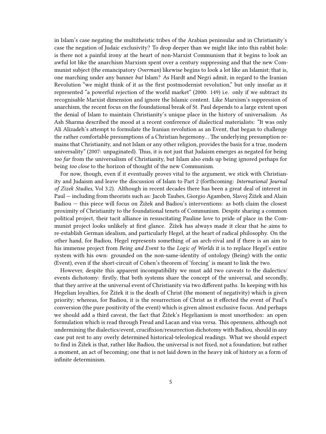in Islam's case negating the multitheistic tribes of the Arabian peninsular and in Christianity's case the negation of Judaic exclusivity? To drop deeper than we might like into this rabbit hole: is there not a painful irony at the heart of non-Marxist Communism that it begins to look an awful lot like the anarchism Marxism spent over a century suppressing and that the new Communist subject (the emancipatory *Overman*) likewise begins to look a lot like an Islamist; that is, one marching under any banner *but* Islam? As Hardt and Negri admit, in regard to the Iranian Revolution "we might think of it as the first postmodernist revolution," but only insofar as it represented "a powerful rejection of the world market" (2000: 149) i.e. only if we subtract its recognisable Marxist dimension and ignore the Islamic content. Like Marxism's suppression of anarchism, the recent focus on the foundational break of St. Paul depends to a large extent upon the denial of Islam to maintain Christianity's unique place in the history of universalism. As Ash Sharma described the mood at a recent conference of dialectical materialists: "It was only Ali Alizadeh's attempt to formulate the Iranian revolution as an Event, that began to challenge the rather comfortable presumptions of a Christian hegemony… The underlying presumption remains that Christianity, and not Islam or any other religion, provides the basis for a true, modern universality" (2007: unpaginated). Thus, it is not just that Judaism emerges as negated for being *too far* from the universalism of Christianity, but Islam also ends up being ignored perhaps for being *too close* to the horizon of thought of the new Communism.

For now, though, even if it eventually proves vital to the argument, we stick with Christianity and Judaism and leave the discussion of Islam to Part 2 (forthcoming: *International Journal of Zizek Studies*, Vol 3.2). Although in recent decades there has been a great deal of interest in Paul — including from theorists such as: Jacob Taubes, Giorgio Agamben, Slavoj Žižek and Alain Badiou — this piece will focus on Žižek and Badiou's interventions: as both claim the closest proximity of Christianity to the foundational tenets of Communism. Despite sharing a common political project, their tacit alliance in resuscitating Pauline love to pride of place in the Communist project looks unlikely at first glance. Žižek has always made it clear that he aims to re-establish German idealism, and particularly Hegel, at the heart of radical philosophy. On the other hand, for Badiou, Hegel represents something of an arch-rival and if there is an aim to his immense project from *Being and Event* to the *Logic of Worlds* it is to replace Hegel's entire system with his own: grounded on the non-same-identity of ontology (Being) with the ontic (Event), even if the short-circuit of Cohen's theorem of 'forcing' is meant to link the two.

However, despite this apparent incompatibility we must add two caveats to the dialectics/ events dichotomy: firstly, that both systems share the concept of the universal, and secondly, that they arrive at the universal event of Christianity via two different paths. In keeping with his Hegelian loyalties, for Žižek it is the death of Christ (the moment of negativity) which is given priority; whereas, for Badiou, it is the resurrection of Christ as it effected the event of Paul's conversion (the pure positivity of the event) which is given almost exclusive focus. And perhaps we should add a third caveat, the fact that Žižek's Hegelianism is most unorthodox: an open formulation which is read through Freud and Lacan and visa versa. This openness, although not undermining the dialectics/event, crucifixion/resurrection dichotomy with Badiou, should in any case put rest to any overly determined historical-teleological readings. What we should expect to find in Žižek is that, rather like Badiou, the universal is not fixed, not a foundation; but rather a moment, an act of becoming; one that is not laid down in the heavy ink of history as a form of infinite determinism.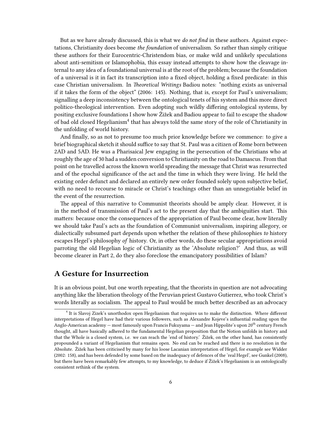But as we have already discussed, this is what we *do not find* in these authors. Against expectations, Christianity does become *the foundation* of universalism. So rather than simply critique these authors for their Eurocentric-Christendom bias, or make wild and unlikely speculations about anti-semitism or Islamophobia, this essay instead attempts to show how the cleavage internal to any idea of a foundational universal is at the root of the problem; because the foundation of a universal is it in fact its transcription into a fixed object, holding a fixed predicate: in this case Christian universalism. In *Theoretical Writings* Badiou notes: "nothing exists as universal if it takes the form of the object" (2006: 145). Nothing, that is, except for Paul's universalism; signalling a deep inconsistency between the ontological tenets of his system and this more direct politico-theological intervention. Even adopting such wildly differing ontological systems, by positing exclusive foundations I show how Žižek and Badiou appear to fail to escape the shadow of bad old closed Hegelianism<sup>4</sup> that has always told the same story of the role of Christianity in the unfolding of world history.

And finally, so as not to presume too much prior knowledge before we commence: to give a brief biographical sketch it should suffice to say that St. Paul was a citizen of Rome born between 2AD and 5AD. He was a Pharisaical Jew engaging in the persecution of the Christians who at roughly the age of 30 had a sudden conversion to Christianity on the road to Damascus. From that point on he travelled across the known world spreading the message that Christ was resurrected and of the epochal significance of the act and the time in which they were living. He held the existing order defunct and declared an entirely new order founded solely upon subjective belief, with no need to recourse to miracle or Christ's teachings other than an unnegotiable belief in the event of the resurrection.

The appeal of this narrative to Communist theorists should be amply clear. However, it is in the method of transmission of Paul's act to the present day that the ambiguities start. This matters: because once the consequences of the appropriation of Paul become clear, how literally we should take Paul's acts as the foundation of Communist universalism, inspiring allegory, or dialectically subsumed part depends upon whether the relation of these philosophies *to* history escapes Hegel's philosophy *of* history. Or, in other words, do these secular appropriations avoid parroting the old Hegelian logic of Christianity as the 'Absolute religion?' And thus, as will become clearer in Part 2, do they also foreclose the emancipatory possibilities of Islam?

#### <span id="page-5-0"></span>**A Gesture for Insurrection**

It is an obvious point, but one worth repeating, that the theorists in question are not advocating anything like the liberation theology of the Peruvian priest Gustavo Gutierrez, who took Christ's words literally as socialism. The appeal to Paul would be much better described as an advocacy

<sup>4</sup> It is Slavoj Zizek's unorthodox open Hegelianism that requires us to make the distinction. Where different interpretations of Hegel have had their various followers, such as Alexandre Kojeve's influential reading upon the Anglo-American academy — most famously upon Francis Fukuyama — and Jean Hippolite's upon 20<sup>th</sup> century French thought, all have basically adhered to the fundamental Hegelian proposition that the Notion unfolds in history and that the Whole is a closed system, i.e. we can reach the 'end of history.' Žižek, on the other hand, has consistently propounded a variant of Hegelianism that remains open. No end can be reached and there is no resolution in the Absolute. Žižek has been criticised by many for his loose Lacanian interpretation of Hegel, for example see Widder (2002: 158), and has been defended by some based on the inadequacy of defences of the 'real Hegel', see Gunkel (2008), but there have been remarkably few attempts, to my knowledge, to deduce if Žižek's Hegelianism is an ontologically consistent rethink of the system.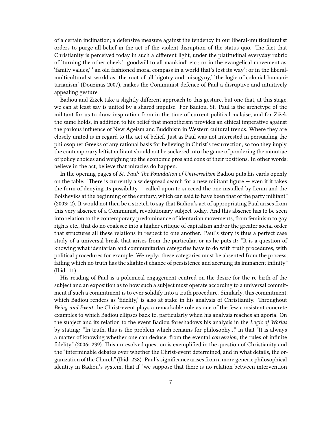of a certain inclination; a defensive measure against the tendency in our liberal-multiculturalist orders to purge all belief in the act of the violent disruption of the status quo. The fact that Christianity is perceived today in such a different light, under the platitudinal everyday rubric of 'turning the other cheek,' 'goodwill to all mankind' etc.; or in the evangelical movement as: 'family values,' ' an old fashioned moral compass in a world that's lost its way'; or in the liberalmulticulturalist world as 'the root of all bigotry and misogyny,' 'the logic of colonial humanitarianism' (Douzinas 2007), makes the Communist defence of Paul a disruptive and intuitively appealing gesture.

Badiou and Žižek take a slightly different approach to this gesture, but one that, at this stage, we can at least say is united by a shared impulse. For Badiou, St. Paul is the archetype of the militant for us to draw inspiration from in the time of current political malaise, and for Žižek the same holds, in addition to his belief that monotheism provides an ethical imperative against the parlous influence of New Ageism and Buddhism in Western cultural trends. Where they are closely united is in regard to the act of belief. Just as Paul was not interested in persuading the philosopher Greeks of any rational basis for believing in Christ's resurrection, so too they imply, the contemporary leftist militant should not be suckered into the game of pondering the minutiae of policy choices and weighing up the economic pros and cons of their positions. In other words: believe in the act, believe that miracles do happen.

In the opening pages of *St. Paul: The Foundation of Universalism* Badiou puts his cards openly on the table: "There is currently a widespread search for a new militant figure  $-$  even if it takes the form of denying its possibility — called upon to succeed the one installed by Lenin and the Bolsheviks at the beginning of the century, which can said to have been that of the party militant" (2003: 2). It would not then be a stretch to say that Badiou's act of appropriating Paul arises from this very absence of a Communist, revolutionary subject today. And this absence has to be seen into relation to the contemporary predominance of identarian movements, from feminism to gay rights etc., that do no coalesce into a higher critique of capitalism and/or the greater social order that structures all these relations in respect to one another. Paul's story is thus a perfect case study of a universal break that arises from the particular, or as he puts it: "It is a question of knowing what identarian and communitarian categories have to do with truth procedures, with political procedures for example. We reply: these categories must be absented from the process, failing which no truth has the slightest chance of persistence and accruing its immanent infinity" (Ibid: 11).

His reading of Paul is a polemical engagement centred on the desire for the re-birth of the subject and an exposition as to how such a subject must operate according to a universal commitment if such a commitment is to ever solidify into a truth procedure. Similarly, this commitment, which Badiou renders as 'fidelity,' is also at stake in his analysis of Christianity. Throughout *Being and Event* the Christ-event plays a remarkable role as one of the few consistent concrete examples to which Badiou ellipses back to, particularly when his analysis reaches an aporia. On the subject and its relation to the event Badiou foreshadows his analysis in the *Logic of Worlds* by stating: "In truth, this is the problem which remains for philosophy…" in that "It is always a matter of knowing whether one can deduce, from the evental *conversion*, the rules of infinite fidelity" (2006: 239). This unresolved question is exemplified in the question of Christianity and the "interminable debates over whether the Christ-event determined, and in what details, the organization of the Church" (Ibid: 238). Paul's significance arises from a more generic philosophical identity in Badiou's system, that if "we suppose that there is no relation between intervention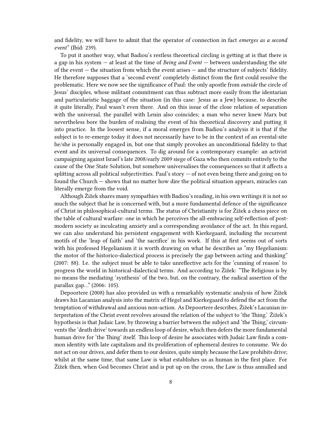and fidelity, we will have to admit that the operator of connection in fact *emerges as a second event*" (Ibid: 239).

To put it another way, what Badiou's restless theoretical circling is getting at is that there is a gap in his system — at least at the time of *Being and Event* — between understanding the site of the event  $-$  the situation from which the event arises  $-$  and the structure of subjects' fidelity. He therefore supposes that a 'second event' completely distinct from the first could resolve the problematic. Here we now see the significance of Paul: the only apostle from *outside* the circle of Jesus' disciples, whose militant commitment can thus subtract more easily from the identarian and particularistic baggage of the situation (in this case: Jesus as a Jew) because, to describe it quite literally, Paul wasn't even there. And on this issue of the close relation of separation with the universal, the parallel with Lenin also coincides; a man who never knew Marx but nevertheless bore the burden of realising the event of his theoretical discovery and putting it into practice. In the loosest sense, if a moral emerges from Badiou's analysis it is that if the subject is to re-emerge today it does not necessarily have to be in the context of an evental-site he/she is personally engaged in, but one that simply provokes an unconditional fidelity to that event and its universal consequences. To dig around for a contemporary example: an activist campaigning against Israel's late 2008/early 2009 siege of Gaza who then commits entirely to the cause of the One State Solution, but somehow universalises the consequences so that it affects a splitting across all political subjectivities. Paul's story — of not even being there and going on to found the Church — shows that no matter how dire the political situation appears, miracles can literally emerge from the void.

Although Žižek shares many sympathies with Badiou's reading, in his own writings it is not so much the subject that he is concerned with, but a more fundamental defence of the significance of Christ in philosophical-cultural terms. The status of Christianity is for Žižek a chess piece on the table of cultural warfare: one in which he perceives the all-embracing self-reflection of postmodern society as inculcating anxiety and a corresponding avoidance of the act. In this regard, we can also understand his persistent engagement with Kierkegaard, including the recurrent motifs of the 'leap of faith' and 'the sacrifice' in his work. If this at first seems out of sorts with his professed Hegelianism it is worth drawing on what he describes as "my Hegelianism: the motor of the historico-dialectical process is precisely the gap between acting and thinking" (2007: 88). I.e. the subject must be able to take unreflective acts for the 'cunning of reason' to progress the world in historical-dialectical terms. And according to Žižek: "The Religious is by no means the mediating 'synthesis' of the two, but, on the contrary, the radical assertion of the parallax gap…" (2006: 105).

Depoortere (2008) has also provided us with a remarkably systematic analysis of how Žižek draws his Lacanian analysis into the matrix of Hegel and Kierkegaard to defend the act from the temptation of withdrawal and anxious non-action. As Depoortere describes, Žižek's Lacanian interpretation of the Christ event revolves around the relation of the subject to 'the Thing.' Žižek's hypothesis is that Judaic Law, by throwing a barrier between the subject and 'the Thing,' circumvents the 'death drive' towards an endless loop of desire, which then defers the more fundamental human drive for 'the Thing' itself. This loop of desire he associates with Judaic Law finds a common identity with late capitalism and its proliferation of ephemeral desires to consume. We do not act on our drives, and defer them to our desires, quite simply because the Law prohibits drive; whilst at the same time, that same Law is what establishes us as human in the first place. For Žižek then, when God becomes Christ and is put up on the cross, the Law is thus annulled and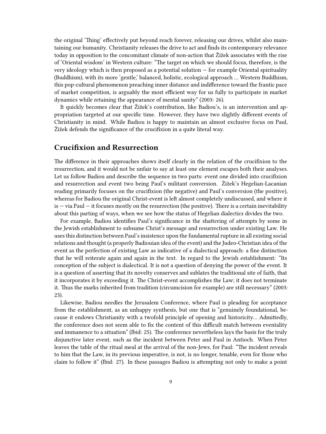the original 'Thing' effectively put beyond reach forever, releasing our drives, whilst also maintaining our humanity. Christianity releases the drive to act and finds its contemporary relevance today in opposition to the concomitant climate of non-action that Žižek associates with the rise of 'Oriental wisdom' in Western culture: "The target on which we should focus, therefore, is the very ideology which is then proposed as a potential solution  $-$  for example Oriental spirituality (Buddhism), with its more 'gentle,' balanced, holistic, ecological approach … Western Buddhism, this pop-cultural phenomenon preaching inner distance and indifference toward the frantic pace of market competition, is arguably the most efficient way for us fully to participate in market dynamics while retaining the appearance of mental sanity" (2003: 26).

It quickly becomes clear that Žižek's contribution, like Badiou's, is an intervention and appropriation targeted at our specific time. However, they have two slightly different events of Christianity in mind. While Badiou is happy to maintain an almost exclusive focus on Paul, Žižek defends the significance of the crucifixion in a quite literal way.

#### <span id="page-8-0"></span>**Crucifixion and Resurrection**

The difference in their approaches shows itself clearly in the relation of the crucifixion to the resurrection, and it would not be unfair to say at least one element escapes both their analyses. Let us follow Badiou and describe the sequence in two parts: event one divided into crucifixion and resurrection and event two being Paul's militant conversion. Žižek's Hegelian-Lacanian reading primarily focuses on the crucifixion (the negative) and Paul's conversion (the positive), whereas for Badiou the original Christ-event is left almost completely undiscussed, and where it  $is - via Paul - it focuses mostly on the resurrection (the positive). There is a certain inevitably  
ility$ about this parting of ways, when we see how the status of Hegelian dialectics divides the two.

For example, Badiou identifies Paul's significance in the shattering of attempts by some in the Jewish establishment to subsume Christ's message and resurrection under existing Law. He uses this distinction between Paul's insistence upon the fundamental rupture in all existing social relations and thought (a properly Badiouian idea of the event) and the Judeo-Christian idea of the event as the perfection of existing Law as indicative of a dialectical approach: a fine distinction that he will reiterate again and again in the text. In regard to the Jewish establishment: "Its conception of the subject is dialectical. It is not a question of denying the power of the event. It is a question of asserting that its novelty conserves and sublates the traditional site of faith, that it incorporates it by exceeding it. The Christ-event accomplishes the Law; it does not terminate it. Thus the marks inherited from tradition (circumcision for example) are still necessary" (2003: 23).

Likewise, Badiou needles the Jerusalem Conference, where Paul is pleading for acceptance from the establishment, as an unhappy synthesis, but one that is "genuinely foundational, because it endows Christianity with a twofold principle of opening and historicity… Admittedly, the conference does not seem able to fix the content of this difficult match between eventality and immanence to a situation" (Ibid: 25). The conference nevertheless lays the basis for the truly disjunctive later event, such as the incident between Peter and Paul in Antioch. When Peter leaves the table of the ritual meal at the arrival of the non-Jews, for Paul: "The incident reveals to him that the Law, in its previous imperative, is not, is no longer, tenable, even for those who claim to follow it" (Ibid: 27). In these passages Badiou is attempting not only to make a point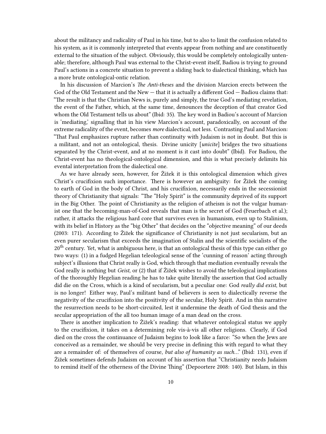about the militancy and radicality of Paul in his time, but to also to limit the confusion related to his system, as it is commonly interpreted that events appear from nothing and are constituently external to the situation of the subject. Obviously, this would be completely ontologically untenable; therefore, although Paul was external to the Christ-event itself, Badiou is trying to ground Paul's actions in a concrete situation to prevent a sliding back to dialectical thinking, which has a more brute ontological-ontic relation.

In his discussion of Marcion's *The Anti-theses* and the division Marcion erects between the God of the Old Testament and the New — that it is actually a different God — Badiou claims that: "The result is that the Christian News is, purely and simply, the true God's mediating revelation, the event of the Father, which, at the same time, denounces the deception of that creator God whom the Old Testament tells us about" (Ibid: 35). The key word in Badiou's account of Marcion is 'mediating,' signalling that in his view Marcion's account, paradoxically, on account of the extreme radicality of the event, becomes *more* dialectical, not less. Contrasting Paul and Marcion: "That Paul emphasizes rupture rather than continuity with Judaism is not in doubt. But this is a militant, and not an ontological, thesis. Divine unicity [*unicite*] bridges the two situations separated by the Christ-event, and at no moment is it cast into doubt" (Ibid). For Badiou, the Christ-event has no theological-ontological dimension, and this is what precisely delimits his evental interpretation from the dialectical one.

As we have already seen, however, for Žižek it is this ontological dimension which gives Christ's crucifixion such importance. There is however an ambiguity: for Žižek the coming to earth of God in the body of Christ, and his crucifixion, necessarily ends in the secessionist theory of Christianity that signals: "The "Holy Spirit" is the community deprived of its support in the Big Other. The point of Christianity as the religion of atheism is not the vulgar humanist one that the becoming-man-of-God reveals that man is the secret of God (Feuerbach et al.); rather, it attacks the religious hard core that survives even in humanism, even up to Stalinism, with its belief in History as the "big Other" that decides on the "objective meaning" of our deeds (2003: 171). According to Žižek the significance of Christianity is not just secularism, but an even purer secularism that exceeds the imagination of Stalin and the scientific socialists of the  $20<sup>th</sup>$  century. Yet, what is ambiguous here, is that an ontological thesis of this type can either go two ways: (1) in a fudged Hegelian teleological sense of the 'cunning of reason' acting through subject's illusions that Christ really is God, which through that mediation eventually reveals the God really is nothing but *Geist,* or (2) that if Žižek wishes to avoid the teleological implications of the thoroughly Hegelian reading he has to take quite literally the assertion that God actually did die on the Cross, which is a kind of secularism, but a peculiar one: God *really did exist*, but is no longer! Either way, Paul's militant band of believers is seen to dialectically reverse the negativity of the crucifixion into the positivity of the secular, Holy Spirit. And in this narrative the resurrection needs to be short-circuited, lest it undermine the death of God thesis and the secular appropriation of the all too human image of a man dead on the cross.

There is another implication to Žižek's reading: that whatever ontological status we apply to the crucifixion, it takes on a determining role vis-à-vis all other religions. Clearly, if God died on the cross the continuance of Judaism begins to look like a farce: "So when the Jews are conceived as a remainder, we should be very precise in defining this with regard to what they are a remainder of: of themselves of course, *but also of humanity as such*…" (Ibid: 131), even if Žižek sometimes defends Judaism on account of his assertion that "Christianity needs Judaism to remind itself of the otherness of the Divine Thing" (Depoortere 2008: 140). But Islam, in this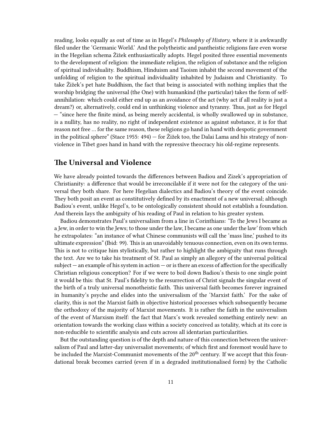reading, looks equally as out of time as in Hegel's *Philosophy of History*, where it is awkwardly filed under the 'Germanic World.' And the polytheistic and pantheistic religions fare even worse in the Hegelian schema Žižek enthusiastically adopts. Hegel posited three essential movements to the development of religion: the immediate religion, the religion of substance and the religion of spiritual individuality. Buddhism, Hinduism and Taoism inhabit the second movement of the unfolding of religion to the spiritual individuality inhabited by Judaism and Christianity. To take Žižek's pet hate Buddhism, the fact that being is associated with nothing implies that the worship bridging the universal (the One) with humankind (the particular) takes the form of selfannihilation: which could either end up as an avoidance of the act (why act if all reality is just a dream?) or, alternatively, could end in unthinking violence and tyranny. Thus, just as for Hegel — "since here the finite mind, as being merely accidental, is wholly swallowed up in substance, is a nullity, has no reality, no right of independent existence as against substance, it is for that reason not free … for the same reason, these religions go hand in hand with despotic government in the political sphere" (Stace 1955:  $494$ ) — for Žižek too, the Dalai Lama and his strategy of nonviolence in Tibet goes hand in hand with the repressive theocracy his old-regime represents.

## <span id="page-10-0"></span>**The Universal and Violence**

We have already pointed towards the differences between Badiou and Zizek's appropriation of Christianity: a difference that would be irreconcilable if it were not for the category of the universal they both share. For here Hegelian dialectics and Badiou's theory of the event coincide. They both posit an event as constitutively defined by its enactment of a new universal; although Badiou's event, unlike Hegel's, to be ontologically consistent should not establish a foundation. And therein Iays the ambiguity of his reading of Paul in relation to his greater system.

Badiou demonstrates Paul's universalism from a line in Corinthians: 'To the Jews I became as a Jew, in order to win the Jews; to those under the law, I became as one under the law' from which he extrapolates: "an instance of what Chinese communists will call the 'mass line,' pushed to its ultimate expression" (Ibid: 99). This is an unavoidably tenuous connection, even on its own terms. This is not to critique him stylistically, but rather to highlight the ambiguity that runs through the text. Are we to take his treatment of St. Paul as simply an allegory of the universal political subject — an example of his system in action — or is there an excess of affection for the specifically Christian religious conception? For if we were to boil down Badiou's thesis to one single point it would be this: that St. Paul's fidelity to the resurrection of Christ signals the singular event of the birth of a truly universal monotheistic faith. This universal faith becomes forever ingrained in humanity's psyche and elides into the universalism of the 'Marxist faith.' For the sake of clarity, this is not the Marxist faith in objective historical processes which subsequently became the orthodoxy of the majority of Marxist movements. It is rather the faith in the universalism of the event of Marxism itself: the fact that Marx's work revealed something entirely new: an orientation towards the working class within a society conceived as totality, which at its core is non-reducible to scientific analysis and cuts across all identarian particularities.

But the outstanding question is of the depth and nature of this connection between the universalism of Paul and latter-day universalist movements; of which first and foremost would have to be included the Marxist-Communist movements of the  $20<sup>th</sup>$  century. If we accept that this foundational break becomes carried (even if in a degraded institutionalised form) by the Catholic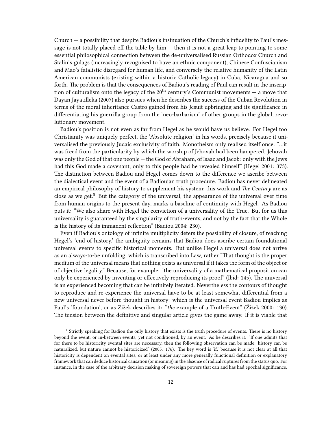Church — a possibility that despite Badiou's insinuation of the Church's infidelity to Paul's message is not totally placed off the table by him — then it is not a great leap to pointing to some essential philosophical connection between the de-universalised Russian Orthodox Church and Stalin's gulags (increasingly recognised to have an ethnic component), Chinese Confuscianism and Mao's fatalistic disregard for human life, and conversely the relative humanity of the Latin American communists (existing within a historic Catholic legacy) in Cuba, Nicaragua and so forth. The problem is that the consequences of Badiou's reading of Paul can result in the inscription of culturalism onto the legacy of the 20<sup>th</sup> century's Communist movements — a move that Dayan Jayatilleka (2007) also pursues when he describes the success of the Cuban Revolution in terms of the moral inheritance Castro gained from his Jesuit upbringing and its significance in differentiating his guerrilla group from the 'neo-barbarism' of other groups in the global, revolutionary movement.

Badiou's position is not even as far from Hegel as he would have us believe. For Hegel too Christianity was uniquely perfect, the 'Absolute religion' in his words, precisely because it universalised the previously Judaic exclusivity of faith. Monotheism only realised itself once: "…it was freed from the particularity by which the worship of Jehovah had been hampered. Jehovah was only the God of that one people — the God of Abraham, of Isaac and Jacob: only with the Jews had this God made a covenant; only to this people had he revealed himself" (Hegel 2001: 373). The distinction between Badiou and Hegel comes down to the difference we ascribe between the dialectical event and the event of a Badiouian truth procedure. Badiou has never delineated an empirical philosophy of history to supplement his system; this work and *The Century* are as close as we get. $5$  But the category of the universal, the appearance of the universal over time from human origins to the present day, marks a baseline of continuity with Hegel. As Badiou puts it: "We also share with Hegel the conviction of a universality of the True. But for us this universality is guaranteed by the singularity of truth-events, and not by the fact that the Whole is the history of its immanent reflection" (Badiou 2004: 230).

Even if Badiou's ontology of infinite multiplicity deters the possibility of closure, of reaching Hegel's 'end of history,' the ambiguity remains that Badiou does ascribe certain foundational universal events to specific historical moments. But unlike Hegel a universal does not arrive as an always-to-be unfolding, which is transcribed into Law, rather "That thought is the proper medium of the universal means that nothing exists as universal if it takes the form of the object or of objective legality." Because, for example: "the universality of a mathematical proposition can only be experienced by inventing or effectively reproducing its proof" (Ibid: 145). The universal is an experienced becoming that can be infinitely iterated. Nevertheless the contours of thought to reproduce and re-experience the universal have to be at least somewhat differential from a new universal never before thought in history: which is the universal event Badiou implies as Paul's 'foundation', or as Žižek describes it: "*the* example of a Truth-Event" (Žižek 2000: 130). The tension between the definitive and singular article gives the game away. If it is viable that

<sup>&</sup>lt;sup>5</sup> Strictly speaking for Badiou the only history that exists is the truth procedure of events. There is no history beyond the event, or in-between events, yet not conditioned, by an event. As he describes it: "If one admits that for there to be historicity evental sites are necessary, then the following observation can be made: history can be naturalized, but nature cannot be historicized" (2005: 176). The key word is 'if,' because it is not clear at all that historicity is dependent on evental sites, or at least under any more generally functional definition or explanatory framework that can deduce historical causation (or meaning) in the absence of radical ruptures from the status quo. For instance, in the case of the arbitrary decision making of sovereign powers that can and has had epochal significance.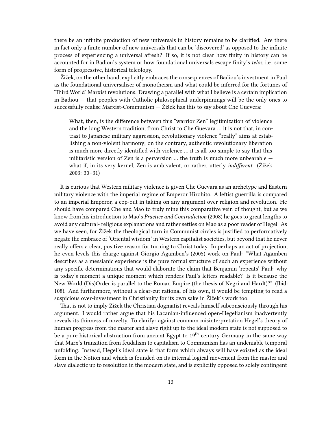there be an infinite production of new universals in history remains to be clarified. Are there in fact only a finite number of new universals that can be 'discovered' as opposed to the infinite process of experiencing a universal afresh? If so, it is not clear how finity in history can be accounted for in Badiou's system or how foundational universals escape finity's *telos,* i.e. some form of progressive, historical teleology.

Žižek, on the other hand, explicitly embraces the consequences of Badiou's investment in Paul as the foundational universaliser of monotheism and what could be inferred for the fortunes of 'Third World' Marxist revolutions. Drawing a parallel with what I believe is a certain implication in Badiou — that peoples with Catholic philosophical underpinnings will be the only ones to successfully realise Marxist-Communism  $-$  Žižek has this to say about Che Guevera:

What, then, is the difference between this "warrior Zen" legitimization of violence and the long Western tradition, from Christ to Che Guevara … it is not that, in contrast to Japanese military aggression, revolutionary violence "really" aims at establishing a non-violent harmony; on the contrary, authentic revolutionary liberation is much more directly identified with violence … it is all too simple to say that this militaristic version of Zen is a perversion … the truth is much more unbearable what if, in its very kernel, Zen is ambivalent, or rather, utterly *indifferent.* (Žižek 2003: 30–31)

It is curious that Western military violence is given Che Guevara as an archetype and Eastern military violence with the imperial regime of Emperor Hirohito. A leftist guerrilla is compared to an imperial Emperor, a cop-out in taking on any argument over religion and revolution. He should have compared Che and Mao to truly mine this comparative vein of thought, but as we know from his introduction to Mao's *Practice and Contradiction* (2008) he goes to great lengths to avoid any cultural- religious explanations and rather settles on Mao as a poor reader of Hegel. As we have seen, for Žižek the theological turn in Communist circles is justified to performatively negate the embrace of 'Oriental wisdom' in Western capitalist societies, but beyond that he never really offers a clear, positive reason for turning to Christ today. In perhaps an act of projection, he even levels this charge against Giorgio Agamben's (2005) work on Paul: "What Agamben describes as a messianic experience is the pure formal structure of such an experience without any specific determinations that would elaborate the claim that Benjamin 'repeats' Paul: why is today's moment a unique moment which renders Paul's letters readable? Is it because the New World (Dis)Order is parallel to the Roman Empire (the thesis of Negri and Hardt)?" (Ibid: 108). And furthermore, without a clear-cut rational of his own, it would be tempting to read a suspicious over-investment in Christianity for its own sake in Žižek's work too.

That is not to imply Žižek the Christian dogmatist reveals himself subconsciously through his argument. I would rather argue that his Lacanian-influenced open-Hegelianism inadvertently reveals its thinness of novelty. To clarify: against common misinterpretation Hegel's theory of human progress from the master and slave right up to the ideal modern state is not supposed to be a pure historical abstraction from ancient Egypt to 19<sup>th</sup> century Germany in the same way that Marx's transition from feudalism to capitalism to Communism has an undeniable temporal unfolding. Instead, Hegel's ideal state is that form which always will have existed as the ideal form in the Notion and which is founded on its internal logical movement from the master and slave dialectic up to resolution in the modern state, and is explicitly opposed to solely contingent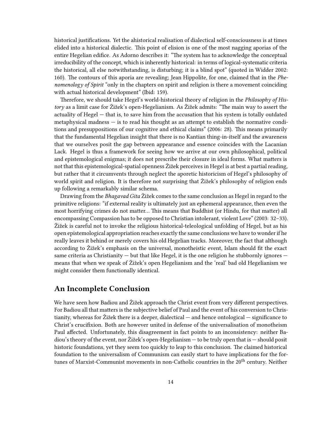historical justifications. Yet the ahistorical realisation of dialectical self-consciousness is at times elided into a historical dialectic. This point of elision is one of the most nagging aporias of the entire Hegelian edifice. As Adorno describes it: "The system has to acknowledge the conceptual irreducibility of the concept, which is inherently historical: in terms of logical-systematic criteria the historical, all else notwithstanding, is disturbing; it is a blind spot" (quoted in Widder 2002: 160). The contours of this aporia are revealing; Jean Hippolite, for one, claimed that in the *Phenomenology of Spirit* "only in the chapters on spirit and religion is there a movement coinciding with actual historical development" (Ibid: 159).

Therefore, we should take Hegel's world-historical theory of religion in the *Philosophy of History* as a limit case for Žižek's open-Hegelianism. As Žižek admits: "The main way to assert the actuality of Hegel — that is, to save him from the accusation that his system is totally outdated metaphysical madness — is to read his thought as an attempt to establish the normative conditions and presuppositions of our cognitive and ethical claims" (2006: 28). This means primarily that the fundamental Hegelian insight that there is no Kantian thing-in-itself and the awareness that we ourselves posit the gap between appearance and essence coincides with the Lacanian Lack. Hegel is thus a framework for seeing how we arrive at our own philosophical, political and epistemological enigmas; it does not prescribe their closure in ideal forms. What matters is not that this epistemological-spatial openness Žižek perceives in Hegel is at best a partial reading, but rather that it circumvents through neglect the aporetic historicism of Hegel's philosophy of world spirit and religion. It is therefore not surprising that Žižek's philosophy of religion ends up following a remarkably similar schema.

Drawing from the *Bhagavad Gita* Žižek comes to the same conclusion as Hegel in regard to the primitive religions: "if external reality is ultimately just an ephemeral appearance, then even the most horrifying crimes do not matter… This means that Buddhist (or Hindu, for that matter) all encompassing Compassion has to be opposed to Christian intolerant, violent Love" (2003: 32–33). Žižek is careful not to invoke the religious historical-teleological unfolding of Hegel, but as his open epistemological appropriation reaches exactly the same conclusions we have to wonder if he really leaves it behind or merely covers his old Hegelian tracks. Moreover, the fact that although according to Žižek's emphasis on the universal, monotheistic event, Islam should fit the exact same criteria as Christianity — but that like Hegel, it is the one religion he stubbornly ignores means that when we speak of Žižek's open Hegelianism and the 'real' bad old Hegelianism we might consider them functionally identical.

# <span id="page-13-0"></span>**An Incomplete Conclusion**

We have seen how Badiou and Žižek approach the Christ event from very different perspectives. For Badiou all that matters is the subjective belief of Paul and the event of his conversion to Christianity, whereas for  $\check{Z}$  izek there is a deeper, dialectical — and hence ontological — significance to Christ's crucifixion. Both are however united in defense of the universalisation of monotheism Paul affected. Unfortunately, this disagreement in fact points to an inconsistency: neither Badiou's theory of the event, nor Žižek's open-Hegelianism — to be truly open that is — should posit historic foundations, yet they seem too quickly to leap to this conclusion. The claimed historical foundation to the universalism of Communism can easily start to have implications for the fortunes of Marxist-Communist movements in non-Catholic countries in the 20<sup>th</sup> century. Neither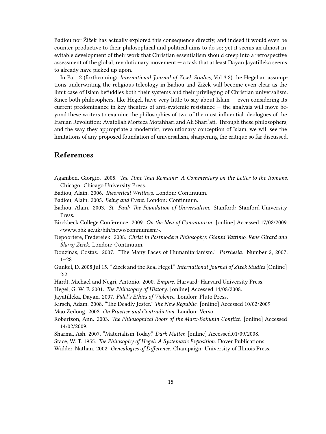Badiou nor Žižek has actually explored this consequence directly, and indeed it would even be counter-productive to their philosophical and political aims to do so; yet it seems an almost inevitable development of their work that Christian essentialism should creep into a retrospective assessment of the global, revolutionary movement — a task that at least Dayan Jayatilleka seems to already have picked up upon.

In Part 2 (forthcoming: *International Journal of Zizek Studies*, Vol 3.2) the Hegelian assumptions underwriting the religious teleology in Badiou and Žižek will become even clear as the limit case of Islam befuddles both their systems and their privileging of Christian universalism. Since both philosophers, like Hegel, have very little to say about Islam  $-$  even considering its current predominance in key theatres of anti-systemic resistance — the analysis will move beyond these writers to examine the philosophies of two of the most influential ideologues of the Iranian Revolution: Ayatollah Morteza Motahhari and Ali Shari'ati. Through these philosophers, and the way they appropriate a modernist, revolutionary conception of Islam, we will see the limitations of any proposed foundation of universalism, sharpening the critique so far discussed.

# <span id="page-14-0"></span>**References**

- Agamben, Giorgio. 2005. *The Time That Remains: A Commentary on the Letter to the Romans*. Chicago: Chicago University Press.
- Badiou, Alain. 2006. *Theoretical Writings*. London: Continuum.
- Badiou, Alain. 2005. *Being and Event*. London: Continuum.
- Badiou, Alain. 2003. *St. Paul: The Foundation of Universalism*. Stanford: Stanford University Press.
- Birckbeck College Conference. 2009. *On the Idea of Communism*. [online] Accessed 17/02/2009. <www.bbk.ac.uk/bih/news/communism>.
- Depoortere, Fredereiek. 2008*. Christ in Postmodern Philosophy: Gianni Vattimo, Rene Girard and Slavoj Žižek*. London: Continuum.
- Douzinas, Costas. 2007. "The Many Faces of Humanitarianism." *Parrhesia*. Number 2, 2007:  $1-28.$
- Gunkel, D. 2008 Jul 15. "Zizek and the Real Hegel." *International Journal of Zizek Studies* [Online] 2:2.
- Hardt, Michael and Negri, Antonio. 2000. *Empire*. Harvard: Harvard University Press.
- Hegel, G. W. F. 2001. *The Philosophy of History*. [online] Accessed 14/08/2008.
- Jayatilleka, Dayan. 2007. *Fidel's Ethics of Violence*. London: Pluto Press.
- Kirsch, Adam. 2008. "The Deadly Jester." *The New Republic*. [online] Accessed 10/02/2009 Mao Zedong. 2008. *On Practice and Contradiction*. London: Verso.
- Robertson, Ann. 2003. *The Philosophical Roots of the Marx-Bakunin Conflict*. [online] Accessed 14/02/2009.
- Sharma, Ash. 2007. "Materialism Today." *Dark Matter.* [online] Accessed.01/09/2008.
- Stace, W. T. 1955. *The Philosophy of Hegel: A Systematic Exposition.* Dover Publications.
- Widder, Nathan. 2002. *Genealogies of Difference*. Champaign: University of Illinois Press.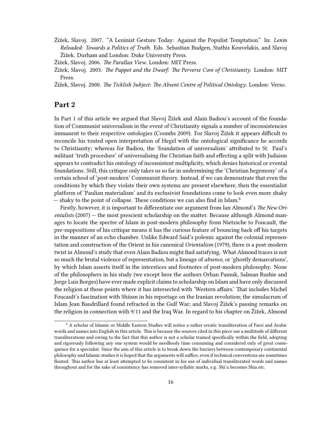- Žižek, Slavoj. 2007. "A Leninist Gesture Today: Against the Populist Temptation." In: *Lenin Reloaded: Towards a Politics of Truth*. Eds. Sebastian Budgen, Stathis Kouvelakis, and Slavoj Žižek. Durham and London: Duke University Press.
- Žižek, Slavoj. 2006. *The Parallax View*. London: MIT Press.
- Žižek, Slavoj. 2003. *The Puppet and the Dwarf: The Perverse Core of Christianity*. London: MIT Press.

Žižek, Slavoj. 2000. *The Ticklish Subject: The Absent Centre of Political Ontology*. London: Verso.

#### <span id="page-15-0"></span>**Part 2**

In Part 1 of this article we argued that Slavoj Žižek and Alain Badiou's account of the foundation of Communist universalism in the event of Christianity signals a number of inconsistencies immanent to their respective ontologies (Coombs 2009). For Slavoj Žižek it appears difficult to reconcile his touted open interpretation of Hegel with the ontological significance he accords to Christianity; whereas for Badiou, the 'foundation of universalism' attributed to St. Paul's militant 'truth procedure' of universalising the Christian faith and effecting a split with Judaism appears to contradict his ontology of inconsistent multiplicity, which denies historical or evental foundations. Still, this critique only takes us so far in undermining the 'Christian hegemony' of a certain school of 'post-modern' Communist theory. Instead, if we can demonstrate that even the conditions by which they violate their own systems are present elsewhere, then the essentialist platform of 'Paulian materialism' and its exclusivist foundations come to look even more shaky  $-$  shaky to the point of collapse. These conditions we can also find in Islam.<sup>6</sup>

Firstly, however, it is important to differentiate our argument from Ian Almond's *The New Orientalists* (2007) — the most prescient scholarship on the matter. Because although Almond manages to locate the spectre of Islam in post-modern philosophy from Nietzsche to Foucault, the pre-suppositions of his critique means it has the curious feature of bouncing back off his targets in the manner of an echo chamber. Unlike Edward Said's polemic against the colonial representation and construction of the Orient in his canonical *Orientalism* (1979), there is a post-modern twist in Almond's study that even Alain Badiou might find satisfying. What Almond traces is not so much the brutal violence of representation, but a lineage of *absence*, or 'ghostly demarcations', by which Islam asserts itself in the interstices and footnotes of post-modern philosophy. None of the philosophers in his study (we except here the authors Orhan Pamuk, Salman Rushie and Jorge Luis Borges) have ever made explicit claims to scholarship on Islam and have only discussed the religion at those points where it has intersected with 'Western affairs.' That includes Michel Foucault's fascination with Shiism in his reportage on the Iranian revolution; the simulacrum of Islam Jean Baudrillard found refracted in the Gulf War; and Slavoj Žižek's passing remarks on the religion in connection with 9/11 and the Iraq War. In regard to his chapter on Žižek, Almond

<sup>6</sup> A scholar of Islamic or Middle Eastern Studies will notice a rather erratic transliteration of Farsi and Arabic words and names into English in this article. This is because the sources cited in this piece use a multitude of different transliterations and owing to the fact that this author is not a scholar trained specifically within the field, adopting and rigorously following any one system would be needlessly time consuming and considered only of great consequence for a specialist. Since the aim of this article is to break down the barriers between contemporary continental philosophy and Islamic studies it is hoped that the arguments will suffice; even if technical conventions are sometimes flouted. This author has at least attempted to be consistent in his use of individual transliterated words and names throughout and for the sake of consistency has removed inter-syllabic marks, e.g. Shi'a becomes Shia etc.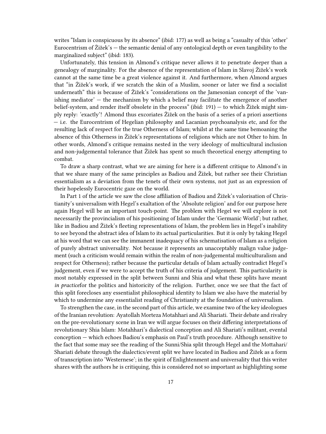writes "Islam is conspicuous by its absence" (ibid: 177) as well as being a "casualty of this 'other' Eurocentrism of Žižek's — the semantic denial of any ontological depth or even tangibility to the marginalized subject" (ibid: 183).

Unfortunately, this tension in Almond's critique never allows it to penetrate deeper than a genealogy of marginality. For the absence of the representation of Islam in Slavoj Žižek's work cannot at the same time be a great violence against it. And furthermore, when Almond argues that "in Žižek's work, if we scratch the skin of a Muslim, sooner or later we find a socialist underneath" this is because of Žižek's "considerations on the Jamesonian concept of the 'vanishing mediator' — the mechanism by which a belief may facilitate the emergence of another belief-system, and render itself obsolete in the process" (ibid: 191) — to which Žižek might simply reply: 'exactly'! Almond thus excoriates Žižek on the basis of a series of a priori assertions — i.e. the Eurocentrism of Hegelian philosophy and Lacanian psychoanalysis etc, and for the resulting lack of respect for the true Otherness of Islam; whilst at the same time bemoaning the absence of this Otherness in Žižek's representations of religions which are not Other to him. In other words, Almond's critique remains nested in the very ideology of multicultural inclusion and non-judgemental tolerance that Žižek has spent so much theoretical energy attempting to combat.

To draw a sharp contrast, what we are aiming for here is a different critique to Almond's in that we share many of the same principles as Badiou and Žižek, but rather see their Christian essentialism as a deviation from the tenets of their own systems, not just as an expression of their hopelessly Eurocentric gaze on the world.

In Part 1 of the article we saw the close affiliation of Badiou and Žižek's valorisation of Christianity's universalism with Hegel's exaltation of the 'Absolute religion' and for our purpose here again Hegel will be an important touch-point. The problem with Hegel we will explore is not necessarily the provincialism of his positioning of Islam under the 'Germanic World'; but rather, like in Badiou and Žižek's fleeting representations of Islam, the problem lies in Hegel's inability to see beyond the abstract idea of Islam to its actual particularities. But it is only by taking Hegel at his word that we can see the immanent inadequacy of his schematisation of Islam as a religion of purely abstract universality. Not because it represents an unacceptably malign value judgement (such a criticism would remain within the realm of non-judgemental multiculturalism and respect for Otherness); rather because the particular details of Islam actually contradict Hegel's judgement, even if we were to accept the truth of his criteria of judgement. This particularity is most notably expressed in the split between Sunni and Shia and what these splits have meant *in practice*for the politics and historicity of the religion. Further, once we see that the fact of this split forecloses any essentialist philosophical identity to Islam we also have the material by which to undermine any essentialist reading of Christianity at the foundation of universalism.

To strengthen the case, in the second part of this article, we examine two of the key ideologues of the Iranian revolution: Ayatollah Morteza Motahhari and Ali Shariati. Their debate and rivalry on the pre-revolutionary scene in Iran we will argue focuses on their differing interpretations of revolutionary Shia Islam: Motahhari's dialectical conception and Ali Shariati's militant, evental conception — which echoes Badiou's emphasis on Paul's truth procedure. Although sensitive to the fact that some may see the reading of the Sunni/Shia split through Hegel and the Mottahari/ Shariati debate through the dialectics/event split we have located in Badiou and Žižek as a form of transcription into 'Westernese'; in the spirit of Enlightenment and universality that this writer shares with the authors he is critiquing, this is considered not so important as highlighting some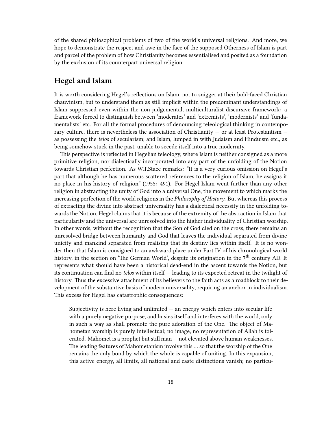of the shared philosophical problems of two of the world's universal religions. And more, we hope to demonstrate the respect and awe in the face of the supposed Otherness of Islam is part and parcel of the problem of how Christianity becomes essentialised and posited as a foundation by the exclusion of its counterpart universal religion.

# <span id="page-17-0"></span>**Hegel and Islam**

It is worth considering Hegel's reflections on Islam, not to snigger at their bold-faced Christian chauvinism, but to understand them as still implicit within the predominant understandings of Islam suppressed even within the non-judgemental, multiculturalist discursive framework: a framework forced to distinguish between 'moderates' and 'extremists', 'modernists' and 'fundamentalists' etc. For all the formal procedures of denouncing teleological thinking in contemporary culture, there is nevertheless the association of Christianity  $-$  or at least Protestantism  $$ as possessing the *telos* of secularism; and Islam, lumped in with Judaism and Hinduism etc., as being somehow stuck in the past, unable to secede itself into a true modernity.

This perspective is reflected in Hegelian teleology, where Islam is neither consigned as a more primitive religion, nor dialectically incorporated into any part of the unfolding of the Notion towards Christian perfection. As W.T.Stace remarks: "It is a very curious omission on Hegel's part that although he has numerous scattered references to the religion of Islam, he assigns it no place in his history of religion" (1955: 491). For Hegel Islam went further than any other religion in abstracting the unity of God into a universal One, the movement to which marks the increasing perfection of the world religions in the *Philosophy of History*. But whereas this process of extracting the divine into abstract universality has a dialectical necessity in the unfolding towards the Notion, Hegel claims that it is because of the extremity of the abstraction in Islam that particularity and the universal are unresolved into the higher individuality of Christian worship. In other words, without the recognition that the Son of God died on the cross, there remains an unresolved bridge between humanity and God that leaves the individual separated from divine unicity and mankind separated from realising that its destiny lies within itself. It is no wonder then that Islam is consigned to an awkward place under Part IV of his chronological world history, in the section on 'The German World', despite its origination in the 7<sup>th</sup> century AD. It represents what should have been a historical dead-end in the ascent towards the Notion, but its continuation can find no *telos* within itself — leading to its expected retreat in the twilight of history. Thus the excessive attachment of its believers to the faith acts as a roadblock to their development of the substantive basis of modern universality, requiring an anchor in individualism. This excess for Hegel has catastrophic consequences:

Subjectivity is here living and unlimited  $-$  an energy which enters into secular life with a purely negative purpose, and busies itself and interferes with the world, only in such a way as shall promote the pure adoration of the One. The object of Mahometan worship is purely intellectual; no image, no representation of Allah is tolerated. Mahomet is a prophet but still man — not elevated above human weaknesses. The leading features of Mahometanism involve this … so that the worship of the One remains the only bond by which the whole is capable of uniting. In this expansion, this active energy, all limits, all national and caste distinctions vanish; no particu-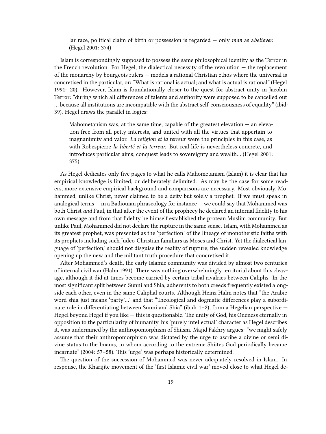lar race, political claim of birth or possession is regarded — only *man* as a*believer.* (Hegel 2001: 374)

Islam is correspondingly supposed to possess the same philosophical identity as the Terror in the French revolution. For Hegel, the dialectical necessity of the revolution — the replacement of the monarchy by bourgeois rulers — models a rational Christian ethos where the universal is concretised in the particular, or: "What is rational is actual; and what is actual is rational" (Hegel 1991: 20). However, Islam is foundationally closer to the quest for abstract unity in Jacobin Terror: "during which all differences of talents and authority were supposed to be cancelled out … because all institutions are incompatible with the abstract self-consciousness of equality" (ibid: 39). Hegel draws the parallel in logics:

Mahometanism was, at the same time, capable of the greatest elevation  $-$  an elevation free from all petty interests, and united with all the virtues that appertain to magnanimity and valor. *La religion et la terreur* were the principles in this case, as with Robespierre *la liberté et la terreur.* But real life is nevertheless concrete, and introduces particular aims; conquest leads to sovereignty and wealth… (Hegel 2001: 375)

As Hegel dedicates only five pages to what he calls Mahometanism (Islam) it is clear that his empirical knowledge is limited, or deliberately delimited. As may be the case for some readers, more extensive empirical background and comparisons are necessary. Most obviously, Mohammed, unlike Christ, never claimed to be a deity but solely a prophet. If we must speak in analogical terms — in a Badiouian phraseology for instance — we could say that Mohammed was both Christ *and* Paul, in that after the event of the prophecy he declared an internal fidelity to his own message and from that fidelity he himself established the protean Muslim community. But unlike Paul, Mohammed did not declare the rupture in the same sense. Islam, with Mohammed as its greatest prophet, was presented as the 'perfection' of the lineage of monotheistic faiths with its prophets including such Judeo-Christian familiars as Moses and Christ. Yet the dialectical language of 'perfection,' should not disguise the reality of rupture; the sudden revealed knowledge opening up the new and the militant truth procedure that concretised it.

After Mohammed's death, the early Islamic community was divided by almost two centuries of internal civil war (Halm 1991). There was nothing overwhelmingly territorial about this cleavage, although it did at times become carried by certain tribal rivalries between Caliphs. In the most significant split between Sunni and Shia, adherents to both creeds frequently existed alongside each other, even in the same Caliphal courts. Although Heinz Halm notes that "the Arabic word shia just means 'party'…" and that "Theological and dogmatic differences play a subordinate role in differentiating between Sunni and Shia" (ibid: 1–2), from a Hegelian perspective — Hegel beyond Hegel if you like — this is questionable. The unity of God, his Oneness eternally in opposition to the particularity of humanity, his 'purely intellectual' character as Hegel describes it, was undermined by the anthropomorphism of Shiism. Majid Fakhry argues: "we might safely assume that their anthropomorphism was dictated by the urge to ascribe a divine or semi divine status to the Imams, in whom according to the extreme Shiites God periodically became incarnate" (2004: 57–58). This 'urge' was perhaps historically determined.

The question of the succession of Mohammed was never adequately resolved in Islam. In response, the Kharijite movement of the 'first Islamic civil war' moved close to what Hegel de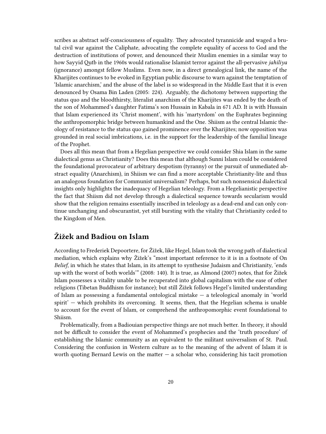scribes as abstract self-consciousness of equality. They advocated tyrannicide and waged a brutal civil war against the Caliphate, advocating the complete equality of access to God and the destruction of institutions of power, and denounced their Muslim enemies in a similar way to how Sayyid Qutb in the 1960s would rationalise Islamist terror against the all-pervasive *jahiliya* (ignorance) amongst fellow Muslims. Even now, in a direct genealogical link, the name of the Kharijites continues to be evoked in Egyptian public discourse to warn against the temptation of 'Islamic anarchism,' and the abuse of the label is so widespread in the Middle East that it is even denounced by Osama Bin Laden (2005: 224). Arguably, the dichotomy between supporting the status quo and the bloodthirsty, literalist anarchism of the Kharijites was ended by the death of the son of Mohammed's daughter Fatima's son Hussain in Kabala in 671 AD. It is with Hussain that Islam experienced its 'Christ moment', with his 'martyrdom' on the Euphrates beginning the anthropomorphic bridge between humankind and the One. Shiism as the central Islamic theology of resistance to the status quo gained prominence over the Kharijites; now opposition was grounded in real social imbrications, i.e. in the support for the leadership of the familial lineage of the Prophet.

Does all this mean that from a Hegelian perspective we could consider Shia Islam in the same dialectical genus as Christianity? Does this mean that although Sunni Islam could be considered the foundational provocateur of arbitrary despotism (tyranny) or the pursuit of unmediated abstract equality (Anarchism), in Shiism we can find a more acceptable Christianity-lite and thus an analogous foundation for Communist universalism? Perhaps, but such nonsensical dialectical insights only highlights the inadequacy of Hegelian teleology. From a Hegelianistic perspective the fact that Shiism did not develop through a dialectical sequence towards secularism would show that the religion remains essentially inscribed in teleology as a dead-end and can only continue unchanging and obscurantist, yet still bursting with the vitality that Christianity ceded to the Kingdom of Men.

# <span id="page-19-0"></span>**Žižek and Badiou on Islam**

According to Frederiek Depoortere, for Žižek, like Hegel, Islam took the wrong path of dialectical mediation, which explains why Žižek's "most important reference to it is in a footnote of On *Belief*, in which he states that Islam, in its attempt to synthesise Judaism and Christianity, 'ends up with the worst of both worlds'" (2008: 140). It is true, as Almond (2007) notes, that for Žižek Islam possesses a vitality unable to be recuperated into global capitalism with the ease of other religions (Tibetan Buddhism for instance); but still Žižek follows Hegel's limited understanding of Islam as possessing a fundamental ontological mistake — a teleological anomaly in 'world spirit' — which prohibits its overcoming. It seems, then, that the Hegelian schema is unable to account for the event of Islam, or comprehend the anthropomorphic event foundational to Shiism.

Problematically, from a Badiouian perspective things are not much better. In theory, it should not be difficult to consider the event of Mohammed's prophecies and the 'truth procedure' of establishing the Islamic community as an equivalent to the militant universalism of St. Paul. Considering the confusion in Western culture as to the meaning of the advent of Islam it is worth quoting Bernard Lewis on the matter  $-$  a scholar who, considering his tacit promotion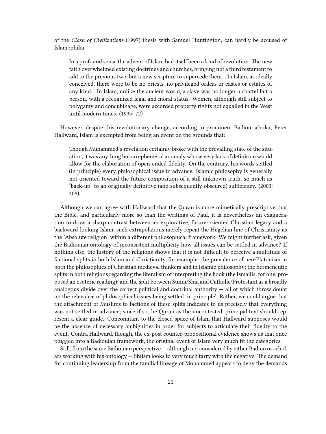of the *Clash of Civilizations* (1997) thesis with Samuel Huntington, can hardly be accused of Islamophilia:

In a profound sense the advent of Islam had itself been a kind of revolution. The new faith overwhelmed existing doctrines and churches, bringing not a third testament to add to the previous two, but a new scripture to supercede them… In Islam, as ideally conceived, there were to be no priests, no privileged orders or castes or estates of any kind… In Islam, unlike the ancient world, a slave was no longer a chattel but a person, with a recognized legal and moral status. Women, although still subject to polygamy and concubinage, were accorded property rights not equalled in the West until modern times. (1995: 72)

However, despite this revolutionary change, according to prominent Badiou scholar, Peter Hallward, Islam is exempted from being an event on the grounds that:

Though Muhammed's revelation certainly broke with the prevailing state of the situation, it was anything but an ephemeral anomaly whose very lack of definition would allow for the elaboration of open-ended fidelity. On the contrary, his words settled (in principle) every philosophical issue in advance. Islamic philosophy is generally not oriented toward the future composition of a still unknown truth, so much as "back-up" to an originally definitive (and subsequently obscured) sufficiency. (2003: 408)

Although we can agree with Hallward that the Quran is more mimetically prescriptive that the Bible, and particularly more so than the writings of Paul, it is nevertheless an exaggeration to draw a sharp contrast between an explorative, future-oriented Christian legacy and a backward-looking Islam; such extrapolations merely repeat the Hegelian line of Christianity as the 'Absolute religion' within a different philosophical framework. We might further ask, given the Badiouian ontology of inconsistent multiplicity how all issues can be settled in advance? If nothing else, the history of the religions shows that it is not difficult to perceive a multitude of factional splits in both Islam and Christianity, for example: the prevalence of neo-Platonism in both the philosophies of Christian medieval thinkers and in Islamic philosophy; the hermeneutic splits in both religions regarding the literalism of interpreting the book (the Ismailis, for one, proposed an esoteric reading); and the split between Sunni/Shia and Catholic/Protestant as a broadly analogous divide over the correct political and doctrinal authority  $-$  all of which throw doubt on the relevance of philosophical issues being settled 'in principle'. Rather, we could argue that the attachment of Muslims to factions of these splits indicates to us precisely that everything was not settled in advance; since if so the Quran as the uncontested, principal text should represent a clear guide. Concomitant to the closed space of Islam that Hallward supposes would be the absence of necessary ambiguities in order for subjects to articulate their fidelity to the event. Contra Hallward, though, the ex-post counter-propositional evidence shows us that once plugged into a Badiouian framework, the original event of Islam very much fit the categories.

Still, from the same Badiouian perspective — although not considered by either Badiou or scholars working with his ontology — Shiism looks to very much tarry with the negative. The demand for continuing leadership from the familial lineage of Mohammed appears to deny the demands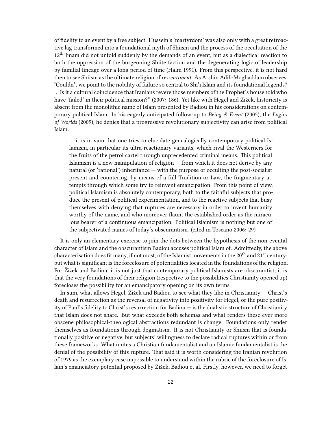of fidelity to an event by a free subject. Hussein's 'martyrdom' was also only with a great retroactive lag transformed into a foundational myth of Shiism and the process of the occultation of the 12<sup>th</sup> Imam did not unfold suddenly by the demands of an event, but as a dialectical reaction to both the oppression of the burgeoning Shiite faction and the degenerating logic of leadership by familial lineage over a long period of time (Halm 1991). From this perspective, it is not hard then to see Shiism as the ultimate religion of *ressentiment*. As Arshin Adib-Moghaddam observes: "Couldn't we point to the nobility of failure so central to Shi'i Islam and its foundational legends? … Is it a cultural coincidence that Iranians revere those members of the Prophet's household who have 'failed' in their political mission?" (2007: 186). Yet like with Hegel and Žižek, historicity is absent from the monolithic name of Islam presented by Badiou in his considerations on contemporary political Islam. In his eagerly anticipated follow-up to *Being & Event* (2005), the *Logics of Worlds* (2009), he denies that a progressive revolutionary subjectivity can arise from political Islam:

… it is in vain that one tries to elucidate genealogically contemporary political Islamism, in particular its ultra-reactionary variants, which rival the Westerners for the fruits of the petrol cartel through unprecedented criminal means. This political Islamism is a new manipulation of religion — from which it does not derive by any natural (or 'rational') inheritance — with the purpose of occulting the post-socialist present and countering, by means of a full Tradition or Law, the fragmentary attempts through which some try to reinvent emancipation. From this point of view, political Islamism is absolutely contemporary, both to the faithful subjects that produce the present of political experimentation, and to the reactive subjects that busy themselves with denying that ruptures are necessary in order to invent humanity worthy of the name, and who moreover flaunt the established order as the miraculous bearer of a continuous emancipation. Political Islamism is nothing but one of the subjectivated names of today's obscurantism. (cited in Toscano 2006: 29)

It is only an elementary exercise to join the dots between the hypothesis of the non-evental character of Islam and the obscurantism Badiou accuses political Islam of. Admittedly, the above characterisation does fit many, if not most, of the Islamist movements in the 20<sup>th</sup> and 21<sup>st</sup> century; but what is significant is the foreclosure of potentialities located in the foundations of the religion. For Žižek and Badiou, it is not just that contemporary political Islamists are obscurantist; it is that the very foundations of their religion (respective to the possibilities Christianity opened up) forecloses the possibility for an emancipatory opening on its own terms.

In sum, what allows Hegel, Žižek and Badiou to see what they like in Christianity — Christ's death and resurrection as the reversal of negativity into positivity for Hegel, or the pure positivity of Paul's fidelity to Christ's resurrection for Badiou — is the dualistic structure of Christianity that Islam does not share. But what exceeds both schemas and what renders these ever more obscene philosophical-theological abstractions redundant is change. Foundations only render themselves as foundations through dogmatism. It is not Christianity or Shiism that is foundationally positive or negative, but subjects' willingness to declare radical ruptures within or from these frameworks. What unites a Christian fundamentalist and an Islamic fundamentalist is the denial of the possibility of this rupture. That said it is worth considering the Iranian revolution of 1979 as the exemplary case impossible to understand within the rubric of the foreclosure of Islam's emanciatory potential proposed by Žižek, Badiou et al. Firstly, however, we need to forget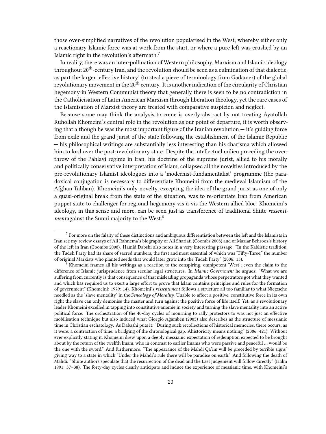those over-simplified narratives of the revolution popularised in the West; whereby either only a reactionary Islamic force was at work from the start, or where a pure left was crushed by an Islamic right in the revolution's aftermath.<sup>7</sup>

In reality, there was an inter-pollination of Western philosophy, Marxism and Islamic ideology throughout  $20<sup>th</sup>$ -century Iran, and the revolution should be seen as a culmination of that dialectic, as part the larger 'effective history' (to steal a piece of terminology from Gadamer) of the global revolutionary movement in the  $20<sup>th</sup>$  century. It is another indication of the circularity of Christian hegemony in Western Communist theory that generally there is seen to be no contradiction in the Catholicisation of Latin American Marxism through liberation theology, yet the rare cases of the Islamisation of Marxist theory are treated with comparative suspicion and neglect.

Because some may think the analysis to come is overly abstract by not treating Ayatollah Ruhollah Khomeini's central role in the revolution as our point of departure, it is worth observing that although he was the most important figure of the Iranian revolution — it's guiding force from exile and the grand jurist of the state following the establishment of the Islamic Republic — his philosophical writings are substantially less interesting than his charisma which allowed him to lord over the post-revolutionary state. Despite the intellectual milieu preceding the overthrow of the Pahlavi regime in Iran, his doctrine of the supreme jurist, allied to his morally and politically conservative interpretation of Islam, collapsed all the novelties introduced by the pre-revolutionary Islamist ideologues into a 'modernist-fundamentalist' programme (the paradoxical conjugation is necessary to differentiate Khomeini from the medieval Islamism of the Afghan Taliban). Khomeini's only novelty, excepting the idea of the grand jurist as one of only a quasi-original break from the state of the situation, was to re-orientate Iran from American puppet state to challenger for regional hegemony vis-à-vis the Western allied bloc. Khomeini's ideology, in this sense and more, can be seen just as transference of traditional Shiite *ressentiment*against the Sunni majority to the West.<sup>8</sup>

 $^7$  For more on the falsity of these distinctions and ambiguous differentiation between the left and the Islamists in Iran see my review essays of Ali Rahnema's biography of Ali Shariati (Coombs 2008) and of Maziar Behrooz's history of the left in Iran (Coombs 2008). Hamid Dabshi also notes in a very interesting passage: "In the Kablistic tradition, the Tudeh Party had its share of sacred numbers, the first and most essential of which was "Fifty-Three," the number of original Marxists who planted seeds that would later grow into the Tudeh Party" (2006: 15).

<sup>8</sup> Khomeini frames all his writings as a reaction to the conspiring, omnipotent 'West'; even the claim to the difference of Islamic jurisprudence from secular legal structures. In *Islamic Government* he argues: "What we are suffering from currently is that consequence of that misleading propaganda whose perpetrators got what they wanted and which has required us to exert a large effort to prove that Islam contains principles and rules for the formation of government" (Khomeini: 1979: 14). Khomeini's *ressentiment* follows a structure all too familiar to what Nietzsche needled as the 'slave mentality' in the*Genealogy of Morality.* Unable to affect a positive, constitutive force in its own right the slave can only demonise the master and turn against the positive force of life itself. Yet, as a revolutionary leader Khomeini excelled in tapping into constitutive anomie in society and turning the slave mentality into an active political force. The orchestration of the 40-day cycles of mourning to rally protestors to was not just an effective mobilisation technique but also induced what Giorgio Agamben (2005) also describes as the structure of messianic time in Christian eschatology. As Dabashi puts it: "During such recollections of historical memories, there occurs, as it were, a contraction of time, a bridging of the chronological gap. Ahistoricity means nothing" (2006: 421). Without ever explicitly stating it, Khomeini drew upon a deeply messianic expectation of redemption expected to be brought about by the return of the twelfth Imam, who in contrast to earlier Imams who were passive and peaceful … would be the one with the sword." And furthermore: "The appearance of the Mahdi Qa'im will be preceded by terrible signs" giving way to a state in which "Under the Mahdi's rule there will be paradise on earth." And following the death of Mahdi: "Shiite authors speculate that the resurrection of the dead and the Last Judgement will follow directly" (Halm 1991: 37–38). The forty-day cycles clearly anticipate and induce the experience of messianic time, with Khomeini's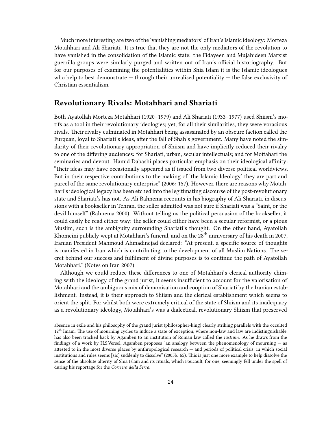Much more interesting are two of the 'vanishing mediators' of Iran's Islamic ideology: Morteza Motahhari and Ali Shariati. It is true that they are not the only mediators of the revolution to have vanished in the consolidation of the Islamic state: the Fidayeen and Mujahideen Marxist guerrilla groups were similarly purged and written out of Iran's official historiography. But for our purposes of examining the potentialities within Shia Islam it is the Islamic ideologues who help to best demonstrate  $-$  through their unrealised potentiality  $-$  the false exclusivity of Christian essentialism.

#### <span id="page-23-0"></span>**Revolutionary Rivals: Motahhari and Shariati**

Both Ayatollah Morteza Motahhari (1920–1979) and Ali Shariati (1933–1977) used Shiism's motifs as a tool in their revolutionary ideologies; yet, for all their similarities, they were voracious rivals. Their rivalry culminated in Motahhari being assassinated by an obscure faction called the Furquan, loyal to Shariati's ideas, after the fall of Shah's government. Many have noted the similarity of their revolutionary appropriation of Shiism and have implicitly reduced their rivalry to one of the differing audiences: for Shariati, urban, secular intellectuals; and for Mottahari the seminaries and devout. Hamid Dabashi places particular emphasis on their ideological affinity: "Their ideas may have occasionally appeared as if issued from two diverse political worldviews. But in their respective contributions to the making of 'the Islamic Ideology' they are part and parcel of the same revolutionary enterprise" (2006: 157). However, there are reasons why Motahhari's ideological legacy has been etched into the legitimating discourse of the post-revolutionary state and Shariati's has not. As Ali Rahnema recounts in his biography of Ali Shariati, in discussions with a bookseller in Tehran, the seller admitted was not sure if Shariati was a "Saint, or the devil himself" (Rahnema 2000). Without telling us the political persuasion of the bookseller, it could easily be read either way: the seller could either have been a secular reformist, or a pious Muslim, such is the ambiguity surrounding Shariati's thought. On the other hand, Ayatollah Khomeini publicly wept at Motahhari's funeral, and on the 28<sup>th</sup> anniversary of his death in 2007, Iranian President Mahmoud Ahmadinejad declared: "At present, a specific source of thoughts is manifested in Iran which is contributing to the development of all Muslim Nations. The secret behind our success and fulfilment of divine purposes is to continue the path of Ayatollah Motahhari." (Notes on Iran 2007)

Although we could reduce these differences to one of Motahhari's clerical authority chiming with the ideology of the grand jurist, it seems insufficient to account for the valorisation of Motahhari and the ambiguous mix of demonisation and cooption of Shariati by the Iranian establishment. Instead, it is their approach to Shiism and the clerical establishment which seems to orient the split. For whilst both were extremely critical of the state of Shiism and its inadequacy as a revolutionary ideology, Motahhari's was a dialectical, revolutionary Shiism that preserved

absence in exile and his philosophy of the grand jurist (philosopher-king) clearly striking parallels with the occulted  $12<sup>th</sup>$  Imam. The use of mourning cycles to induce a state of exception, where non-law and law are indistinguishable, has also been tracked back by Agamben to an institution of Roman law called the *iustium.* As he draws from the findings of a work by H.S.Versel, Agamben proposes "an analogy between the phenomenology of mourning — as attested to in the most diverse places by anthropological research — and periods of political crisis, in which social institutions and rules seems [sic] suddenly to dissolve" (2005b: 65). This is just one more example to help dissolve the sense of the absolute alterity of Shia Islam and its rituals, which Foucault, for one, seemingly fell under the spell of during his reportage for the *Corriera della Serra*.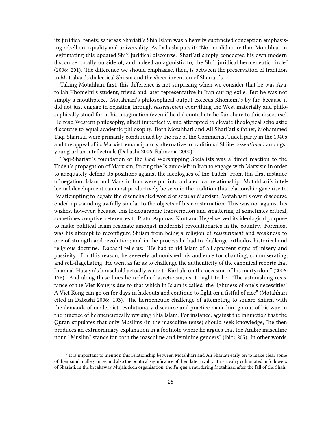its juridical tenets; whereas Shariati's Shia Islam was a heavily subtracted conception emphasising rebellion, equality and universality. As Dabashi puts it: "No one did more than Motahhari in legitimating this updated Shi'i juridical discourse. Shari'ati simply concocted his own modern discourse, totally outside of, and indeed antagonistic to, the Shi'i juridical hermeneutic circle" (2006: 201). The difference we should emphasise, then, is between the preservation of tradition in Mottahari's dialectical Shiism and the sheer invention of Shariati's.

Taking Motahhari first, this difference is not surprising when we consider that he was Ayatollah Khomeini's student, friend and later representative in Iran during exile. But he was not simply a mouthpiece. Motahhari's philosophical output exceeds Khomeini's by far, because it did not just engage in negating through *ressentiment* everything the West materially and philosophically stood for in his imagination (even if he did contribute he fair share to this discourse). He read Western philosophy, albeit imperfectly, and attempted to elevate theological scholastic discourse to equal academic philosophy. Both Motahhari and Ali Shari'ati's father, Mohammed Taqi-Shariati, were primarily conditioned by the rise of the Communist Tudeh party in the 1940s and the appeal of its Marxist, emancipatory alternative to traditional Shiite *ressentiment* amongst young urban intellectuals (Dabashi 2006; Rahnema 2000).<sup>9</sup>

Taqi-Shariati's foundation of the God Worshipping Socialists was a direct reaction to the Tudeh's propagation of Marxism, forcing the Islamic-left in Iran to engage with Marxism in order to adequately defend its positions against the ideologues of the Tudeh. From this first instance of negation, Islam and Marx in Iran were put into a dialectical relationship. Motahhari's intellectual development can most productively be seen in the tradition this relationship gave rise to. By attempting to negate the disenchanted world of secular Marxism, Motahhari's own discourse ended up sounding awfully similar to the objects of his consternation. This was not against his wishes, however, because this lexicographic transcription and smattering of sometimes critical, sometimes cooptive, references to Plato, Aquinas, Kant and Hegel served its ideological purpose to make political Islam resonate amongst modernist revolutionaries in the country. Foremost was his attempt to reconfigure Shiism from being a religion of *ressentiment* and weakness to one of strength and revolution; and in the process he had to challenge orthodox historical and religious doctrine. Dabashi tells us: "He had to rid Islam of all apparent signs of misery and passivity. For this reason, he severely admonished his audience for chanting, commiserating, and self-flagellating. He went as far as to challenge the authenticity of the canonical reports that Imam al-Husayn's household actually came to Karbala on the occasion of his martyrdom" (2006: 176). And along these lines he redefined asceticism, as it ought to be: "The astonishing resistance of the Viet Kong is due to that which in Islam is called 'the lightness of one's necessities.' A Viet Kong can go on for days in hideouts and continue to fight on a fistful of rice" (Motahhari cited in Dabashi 2006: 193). The hermeneutic challenge of attempting to square Shiism with the demands of modernist revolutionary discourse and practice made him go out of his way in the practice of hermeneutically revising Shia Islam. For instance, against the injunction that the Quran stipulates that only Muslims (in the masculine tense) should seek knowledge, "he then produces an extraordinary explanation in a footnote where he argues that the Arabic masculine noun "Muslim" stands for both the masculine and feminine genders" (ibid: 205). In other words,

<sup>&</sup>lt;sup>9</sup> It is important to mention this relationship between Motahhari and Ali Shariati early on to make clear some of their similar allegiances and also the political significance of their later rivalry. This rivalry culminated in followers of Shariati, in the breakaway Mujahideen organisation, the *Furquan,* murdering Motahhari after the fall of the Shah.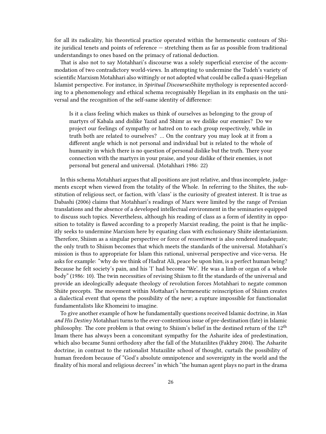for all its radicality, his theoretical practice operated within the hermeneutic contours of Shiite juridical tenets and points of reference — stretching them as far as possible from traditional understandings to ones based on the primacy of rational deduction.

That is also not to say Motahhari's discourse was a solely superficial exercise of the accommodation of two contradictory world-views. In attempting to undermine the Tudeh's variety of scientific Marxism Motahhari also wittingly or not adopted what could be called a quasi-Hegelian Islamist perspective. For instance, in *Spiritual Discourses*Shiite mythology is represented according to a phenomenology and ethical schema recognisably Hegelian in its emphasis on the universal and the recognition of the self-same identity of difference:

Is it a class feeling which makes us think of ourselves as belonging to the group of martyrs of Kabala and dislike Yazid and Shimr as we dislike our enemies? Do we project our feelings of sympathy or hatred on to each group respectively, while in truth both are related to ourselves? … On the contrary you may look at it from a different angle which is not personal and individual but is related to the whole of humanity in which there is no question of personal dislike but the truth. There your connection with the martyrs in your praise, and your dislike of their enemies, is not personal but general and universal. (Motahhari 1986: 22)

In this schema Motahhari argues that all positions are just relative, and thus incomplete, judgements except when viewed from the totality of the Whole. In referring to the Shiites, the substitution of religious sect, or faction, with 'class' is the curiosity of greatest interest. It is true as Dabashi (2006) claims that Motahhari's readings of Marx were limited by the range of Persian translations and the absence of a developed intellectual environment in the seminaries equipped to discuss such topics. Nevertheless, although his reading of class as a form of identity in opposition to totality is flawed according to a properly Marxist reading, the point is that he implicitly seeks to undermine Marxism here by equating class with exclusionary Shiite identarianism. Therefore, Shiism as a singular perspective or force of *ressentiment* is also rendered inadequate; the only truth to Shiism becomes that which meets the standards of the universal. Motahhari's mission is thus to appropriate for Islam this rational, universal perspective and vice-versa. He asks for example: "why do we think of Hadrat Ali, peace be upon him, is a perfect human being? Because he felt society's pain, and his 'I' had become 'We'. He was a limb or organ of a whole body" (1986: 10). The twin necessities of revising Shiism to fit the standards of the universal and provide an ideologically adequate theology of revolution forces Motahhari to negate common Shiite precepts. The movement within Mottahari's hermeneutic reinscription of Shiism creates a dialectical event that opens the possibility of the new; a rupture impossible for functionalist fundamentalists like Khomeini to imagine.

To give another example of how he fundamentally questions received Islamic doctrine, in *Man and His Destiny* Motahhari turns to the ever-contentious issue of pre-destination (fate) in Islamic philosophy. The core problem is that owing to Shiism's belief in the destined return of the 12th Imam there has always been a concomitant sympathy for the Asharite idea of predestination, which also became Sunni orthodoxy after the fall of the Mutazilites (Fakhry 2004). The Asharite doctrine, in contrast to the rationalist Mutazilite school of thought, curtails the possibility of human freedom because of "God's absolute omnipotence and sovereignty in the world and the finality of his moral and religious decrees" in which "the human agent plays no part in the drama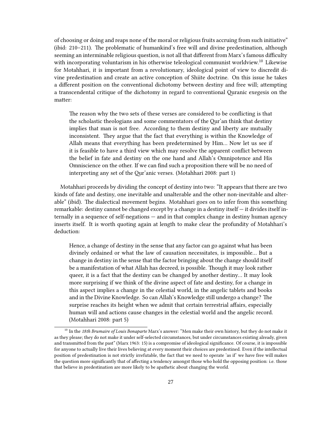of choosing or doing and reaps none of the moral or religious fruits accruing from such initiative" (ibid: 210–211). The problematic of humankind's free will and divine predestination, although seeming an interminable religious question, is not all that different from Marx's famous difficulty with incorporating voluntarism in his otherwise teleological communist worldview.<sup>10</sup> Likewise for Motahhari, it is important from a revolutionary, ideological point of view to discredit divine predestination and create an active conception of Shiite doctrine. On this issue he takes a different position on the conventional dichotomy between destiny and free will; attempting a transcendental critique of the dichotomy in regard to conventional Quranic exegesis on the matter:

The reason why the two sets of these verses are considered to be conflicting is that the scholastic theologians and some commentators of the Qur'an think that destiny implies that man is not free. According to them destiny and liberty are mutually inconsistent. They argue that the fact that everything is within the Knowledge of Allah means that everything has been predetermined by Him… Now let us see if it is feasible to have a third view which may resolve the apparent conflict between the belief in fate and destiny on the one hand and Allah's Omnipotence and His Omniscience on the other. If we can find such a proposition there will be no need of interpreting any set of the Qur'anic verses. (Motahhari 2008: part 1)

Motahhari proceeds by dividing the concept of destiny into two: "It appears that there are two kinds of fate and destiny, one inevitable and unalterable and the other non-inevitable and alterable" (ibid). The dialectical movement begins. Motahhari goes on to infer from this something remarkable: destiny cannot be changed except by a change in a destiny itself — it divides itself internally in a sequence of self-negations — and in that complex change in destiny human agency inserts itself. It is worth quoting again at length to make clear the profundity of Motahhari's deduction:

Hence, a change of destiny in the sense that any factor can go against what has been divinely ordained or what the law of causation necessitates, is impossible… But a change in destiny in the sense that the factor bringing about the change should itself be a manifestation of what Allah has decreed, is possible. Though it may look rather queer, it is a fact that the destiny can be changed by another destiny… It may look more surprising if we think of the divine aspect of fate and destiny, for a change in this aspect implies a change in the celestial world, in the angelic tablets and books and in the Divine Knowledge. So can Allah's Knowledge still undergo a change? The surprise reaches its height when we admit that certain terrestrial affairs, especially human will and actions cause changes in the celestial world and the angelic record. (Motahhari 2008: part 5)

<sup>10</sup> In the *18th Brumaire of Louis Bonaparte* Marx's answer: "Men make their own history, but they do not make it as they please; they do not make it under self-selected circumstances, but under circumstances existing already, given and transmitted from the past" (Marx 1963: 15) is a compromise of ideological significance. Of course, it is impossible for anyone to actually live their lives believing at every moment their choices are predestined. Even if the intellectual position of predestination is not strictly irrefutable, the fact that we need to operate 'as if' we have free will makes the question more significantly that of affecting a tendency amongst those who hold the opposing position: i.e. those that believe in predestination are more likely to be apathetic about changing the world.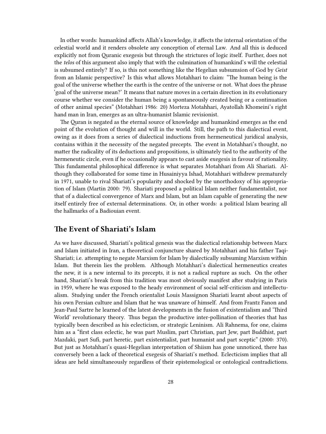In other words: humankind affects Allah's knowledge, it affects the internal orientation of the celestial world and it renders obsolete any conception of eternal Law. And all this is deduced explicitly not from Quranic exegesis but through the strictures of logic itself. Further, does not the *telos* of this argument also imply that with the culmination of humankind's will the celestial is subsumed entirely? If so, is this not something like the Hegelian subsumsion of God by *Geist* from an Islamic perspective? Is this what allows Motahhari to claim: "The human being is the goal of the universe whether the earth is the centre of the universe or not. What does the phrase 'goal of the universe mean?' It means that nature moves in a certain direction in its evolutionary course whether we consider the human being a spontaneously created being or a continuation of other animal species" (Motahhari 1986: 20) Morteza Motahhari, Ayatollah Khomeini's right hand man in Iran, emerges as an ultra-humanist Islamic revisionist.

The Quran is negated as the eternal source of knowledge and humankind emerges as the end point of the evolution of thought and will in the world. Still, the path to this dialectical event, owing as it does from a series of dialectical inductions from hermeneutical juridical analysis, contains within it the necessity of the negated precepts. The event in Motahhari's thought, no matter the radicality of its deductions and propositions, is ultimately tied to the authority of the hermeneutic circle, even if he occasionally appears to cast aside exegesis in favour of rationality. This fundamental philosophical difference is what separates Motahhari from Ali Shariati. Although they collaborated for some time in Husainiyya Ishad, Motahhari withdrew prematurely in 1971, unable to rival Shariati's popularity and shocked by the unorthodoxy of his appropriation of Islam (Martin 2000: 79). Shariati proposed a political Islam neither fundamentalist, nor that of a dialectical convergence of Marx and Islam, but an Islam capable of generating the new itself entirely free of external determinations. Or, in other words: a political Islam bearing all the hallmarks of a Badiouian event.

## <span id="page-27-0"></span>**The Event of Shariati's Islam**

As we have discussed, Shariati's political genesis was the dialectical relationship between Marx and Islam initiated in Iran, a theoretical conjuncture shared by Motahhari and his father Taqi-Shariati; i.e. attempting to negate Marxism for Islam by dialectically subsuming Marxism within Islam. But therein lies the problem. Although Motahhari's dialectical hermeneutics creates the new, it is a new internal to its precepts, it is not a radical rupture as such. On the other hand, Shariati's break from this tradition was most obviously manifest after studying in Paris in 1959, where he was exposed to the heady environment of social self-criticism and intellectualism. Studying under the French orientalist Louis Massignon Shariati learnt about aspects of his own Persian culture and Islam that he was unaware of himself. And from Frantz Fanon and Jean-Paul Sartre he learned of the latest developments in the fusion of existentialism and 'Third World' revolutionary theory. Thus began the productive inter-pollination of theories that has typically been described as his eclecticism, or strategic Leninism. Ali Rahnema, for one, claims him as a "first class eclectic, he was part Muslim, part Christian, part Jew, part Buddhist, part Mazdaki, part Sufi, part heretic, part existentialist, part humanist and part sceptic" (2000: 370). But just as Motahhari's quasi-Hegelian interpretation of Shiism has gone unnoticed, there has conversely been a lack of theoretical exegesis of Shariati's method. Eclecticism implies that all ideas are held simultaneously regardless of their epistemological or ontological contradictions.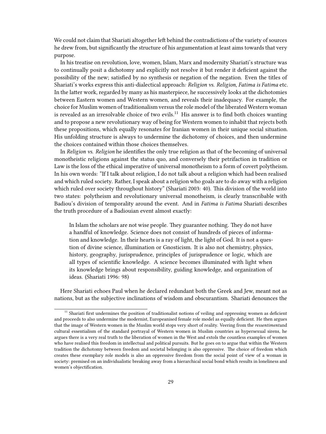We could not claim that Shariati altogether left behind the contradictions of the variety of sources he drew from, but significantly the structure of his argumentation at least aims towards that very purpose.

In his treatise on revolution, love, women, Islam, Marx and modernity Shariati's structure was to continually posit a dichotomy and explicitly not resolve it but render it deficient against the possibility of the new; satisfied by no synthesis or negation of the negation. Even the titles of Shariati's works express this anti-dialectical approach*: Religion vs. Religion*, *Fatima is Fatima* etc. In the latter work, regarded by many as his masterpiece, he successively looks at the dichotomies between Eastern women and Western women, and reveals their inadequacy. For example, the choice for Muslim women of traditionalism versus the role model of the liberated Western woman is revealed as an irresolvable choice of two evils.<sup>11</sup> His answer is to find both choices wanting and to propose a new revolutionary way of being for Western women to inhabit that rejects both these propositions, which equally resonates for Iranian women in their unique social situation. His unfolding structure is always to undermine the dichotomy of choices, and then undermine the choices contained within those choices themselves.

In *Religion vs. Religion* he identifies the only true religion as that of the becoming of universal monotheistic religions against the status quo, and conversely their petrifaction in tradition or Law is the loss of the ethical imperative of universal monotheism to a form of covert polytheism. In his own words: "If I talk about religion, I do not talk about a religion which had been realised and which ruled society. Rather, I speak about a religion who goals are to do away with a religion which ruled over society throughout history" (Shariati 2003: 40). This division of the world into two states: polytheism and revolutionary universal monotheism, is clearly transcribable with Badiou's division of temporality around the event. And in *Fatima is Fatima* Shariati describes the truth procedure of a Badiouian event almost exactly:

In Islam the scholars are not wise people. They guarantee nothing. They do not have a handful of knowledge. Science does not consist of hundreds of pieces of information and knowledge. In their hearts is a ray of light, the light of God. It is not a question of divine science, illumination or Gnosticism. It is also not chemistry, physics, history, geography, jurisprudence, principles of jurisprudence or logic, which are all types of scientific knowledge. A science becomes illuminated with light when its knowledge brings about responsibility, guiding knowledge, and organization of ideas. (Shariati 1996: 98)

Here Shariati echoes Paul when he declared redundant both the Greek and Jew, meant not as nations, but as the subjective inclinations of wisdom and obscurantism. Shariati denounces the

 $11$  Shariati first undermines the position of traditionalist notions of veiling and oppressing women as deficient and proceeds to also undermine the modernist, Europeanised female role model as equally deficient. He then argues that the image of Western women in the Muslim world stops very short of reality. Veering from the *ressentiment*and cultural essentialism of the standard portrayal of Western women in Muslim countries as hypersexual sirens, he argues there is a very real truth to the liberation of women in the West and extols the countless examples of women who have realised this freedom in intellectual and political pursuits. But he goes on to argue that within the Western tradition the dichotomy between freedom and societal belonging is also oppressive. The choice of freedom which creates these exemplary role models is also an oppressive freedom from the social point of view of a woman in society: premised on an individualistic breaking away from a hierarchical social bond which results in loneliness and women's objectification.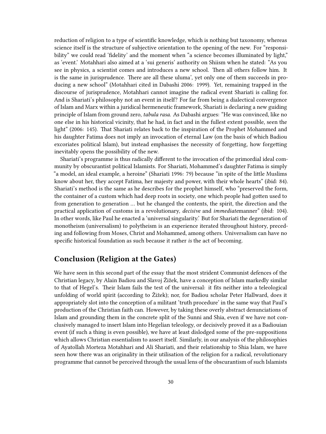reduction of religion to a type of scientific knowledge, which is nothing but taxonomy, whereas science itself is the structure of subjective orientation to the opening of the new. For "responsibility" we could read 'fidelity' and the moment when "a science becomes illuminated by light," as 'event.' Motahhari also aimed at a 'sui generis' authority on Shiism when he stated: "As you see in physics, a scientist comes and introduces a new school. Then all others follow him. It is the same in jurisprudence. There are all these uluma', yet only one of them succeeds in producing a new school" (Motahhari cited in Dabashi 2006: 1999). Yet, remaining trapped in the discourse of jurisprudence, Motahhari cannot imagine the radical event Shariati is calling for. And is Shariati's philosophy not an event in itself? For far from being a dialectical convergence of Islam and Marx within a juridical hermeneutic framework, Shariati is declaring a new guiding principle of Islam from ground zero, *tabula rasa*. As Dabashi argues: "He was convinced, like no one else in his historical vicinity, that he had, in fact and in the fullest extent possible, seen the light" (2006: 145). That Shariati relates back to the inspiration of the Prophet Mohammed and his daughter Fatima does not imply an invocation of eternal Law (on the basis of which Badiou excoriates political Islam), but instead emphasises the necessity of forgetting, how forgetting inevitably opens the possibility of the new.

Shariati's programme is thus radically different to the invocation of the primordial ideal community by obscurantist political Islamists. For Shariati, Mohammed's daughter Fatima is simply "a model, an ideal example, a heroine" (Shariati 1996: 79) because "in spite of the little Muslims know about her, they accept Fatima, her majesty and power, with their whole hearts" (ibid: 84). Shariati's method is the same as he describes for the prophet himself, who "preserved the form, the container of a custom which had deep roots in society, one which people had gotten used to from generation to generation … but he changed the contents, the spirit, the direction and the practical application of customs in a revolutionary, *decisive* and *immediate*manner" (ibid: 104). In other words, like Paul he enacted a 'universal singularity.' But for Shariati the degeneration of monotheism (universalism) to polytheism is an experience iterated throughout history, preceding and following from Moses, Christ and Mohammed, among others. Universalism can have no specific historical foundation as such because it rather *is* the act of becoming.

# <span id="page-29-0"></span>**Conclusion (Religion at the Gates)**

We have seen in this second part of the essay that the most strident Communist defences of the Christian legacy, by Alain Badiou and Slavoj Žižek, have a conception of Islam markedly similar to that of Hegel's. Their Islam fails the test of the universal: it fits neither into a teleological unfolding of world spirit (according to Žižek); nor, for Badiou scholar Peter Hallward, does it appropriately slot into the conception of a militant 'truth procedure' in the same way that Paul's production of the Christian faith can. However, by taking these overly abstract denunciations of Islam and grounding them in the concrete split of the Sunni and Shia, even if we have not conclusively managed to insert Islam into Hegelian teleology, or decisively proved it as a Badiouian event (if such a thing is even possible), we have at least dislodged some of the pre-suppositions which allows Christian essentialism to assert itself. Similarly, in our analysis of the philosophies of Ayatollah Morteza Motahhari and Ali Shariati, and their relationship to Shia Islam, we have seen how there was an originality in their utilisation of the religion for a radical, revolutionary programme that cannot be perceived through the usual lens of the obscurantism of such Islamists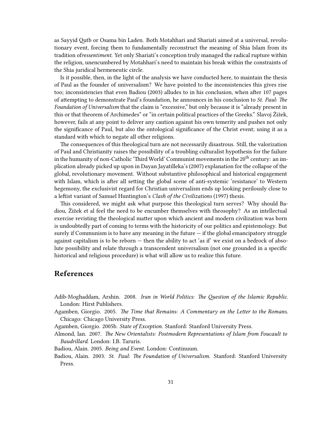as Sayyid Qutb or Osama bin Laden. Both Motahhari and Shariati aimed at a universal, revolutionary event, forcing them to fundamentally reconstruct the meaning of Shia Islam from its tradition of*ressentiment*. Yet only Shariati's conception truly managed the radical rupture within the religion, unencumbered by Motahhari's need to maintain his break within the constraints of the Shia juridical hermeneutic circle.

Is it possible, then, in the light of the analysis we have conducted here, to maintain the thesis of Paul as the founder of universalism? We have pointed to the inconsistencies this gives rise too; inconsistencies that even Badiou (2003) alludes to in his conclusion, when after 107 pages of attempting to demonstrate Paul's foundation, he announces in his conclusion to *St. Paul: The Foundation of Universalism* that the claim is "excessive," but only because it is "already present in this or that theorem of Archimedes" or "in certain political practices of the Greeks." Slavoj Žižek, however, fails at any point to deliver any caution against his own temerity and pushes not only the significance of Paul, but also the ontological significance of the Christ event; using it as a standard with which to negate all other religions.

The consequences of this theological turn are not necessarily disastrous. Still, the valorization of Paul and Christianity raises the possibility of a troubling culturalist hypothesis for the failure in the humanity of non-Catholic 'Third World' Communist movements in the 20<sup>th</sup> century: an implication already picked up upon in Dayan Jayatilleka's (2007) explanation for the collapse of the global, revolutionary movement. Without substantive philosophical and historical engagement with Islam, which is after all setting the global scene of anti-systemic 'resistance' to Western hegemony, the exclusivist regard for Christian universalism ends up looking perilously close to a leftist variant of Samuel Huntington's *Clash of the Civilizations* (1997) thesis.

This considered, we might ask what purpose this theological turn serves? Why should Badiou, Žižek et al feel the need to be encumber themselves with theosophy? As an intellectual exercise revisting the theological matter upon which ancient and modern civilization was born is undoubtedly part of coming to terms with the historicity of our politics and epistemology. But surely if Communism is to have any meaning in the future  $-$  if the global emancipatory struggle against capitalism is to be reborn — then the ability to act 'as if' we exist on a bedrock of absolute possibility and relate through a transcendent universalism (not one grounded in a specific historical and religious procedure) is what will allow us to realize this future.

### <span id="page-30-0"></span>**References**

- Adib-Moghaddam, Arshin. 2008. *Iran in World Politics: The Question of the Islamic Republic*. London: Hirst Publishers.
- Agamben, Giorgio. 2005. *The Time that Remains: A Commentary on the Letter to the Romans*. Chicago: Chicago University Press.
- Agamben, Giorgio. 2005b. *State of Exception*. Stanford: Stanford University Press.
- Almond, Ian. 2007. *The New Orientalists: Postmodern Representations of Islam from Foucault to Baudrillard*. London: I.B. Taruris.
- Badiou, Alain. 2005. *Being and Event*. London: Continuum.
- Badiou, Alain. 2003. *St. Paul: The Foundation of Universalism*. Stanford: Stanford University Press.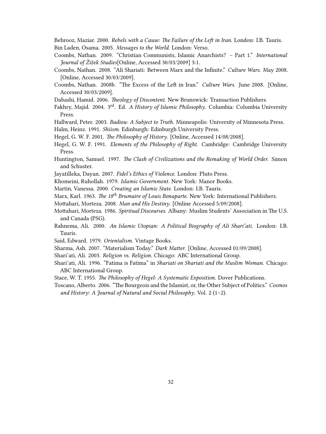Behrooz, Maziar. 2000. *Rebels with a Cause: The Failure of the Left in Iran.* London: I.B. Tauris. Bin Laden, Osama. 2005. *Messages to the World*. London: Verso.

- Coombs, Nathan. 2009. "Christian Communists, Islamic Anarchists? Part 1." *International Journal of Žižek Studies*[Online, Accessed 30/03/2009] 3:1.
- Coombs, Nathan. 2008. "Ali Shariati: Between Marx and the Infinite." *Culture Wars*. May 2008. [Online, Accessed 30/03/2009].
- Coombs, Nathan. 2008b. "The Excess of the Left in Iran." *Culture Wars*. June 2008. [Online, Accessed 30/03/2009].
- Dabashi, Hamid. 2006. *Theology of Discontent*. New Brunswick: Transaction Publishers.
- Fakhry, Majid. 2004. 3rd. Ed. *A History of Islamic Philosophy*. Columbia: Columbia University Press.
- Hallward, Peter. 2003. *Badiou: A Subject to Truth*. Minneapolis: University of Minnesota Press.
- Halm, Heinz. 1991. *Shiism*. Edinburgh: Edinburgh University Press.
- Hegel, G. W. F. 2001. *The Philosophy of History*. [Online, Accessed 14/08/2008].
- Hegel, G. W. F. 1991. *Elements of the Philosophy of Right*. Cambridge: Cambridge University Press.
- Huntington, Samuel. 1997. *The Clash of Civilizations and the Remaking of World Order*. Simon and Schuster.
- Jayatilleka, Dayan. 2007. *Fidel's Ethics of Violence*. London: Pluto Press.
- Khomeini, Ruhollah. 1979. *Islamic Government*. New York: Manor Books.
- Martin, Vanessa. 2000. *Creating an Islamic State*. London: I.B. Tauris.
- Marx, Karl. 1963. *The 18th Brumaire of Louis Bonaparte*. New York: International Publishers.
- Mottahari, Morteza. 2008. *Man and His Destiny*. [Online Accessed 5/09/2008].
- Mottahari, Morteza. 1986. *Spiritual Discourses*. Albany: Muslim Students' Association in The U.S. and Canada (PSG).
- Rahnema, Ali. 2000. *An Islamic Utopian: A Political Biography of Ali Shari'ati*. London: I.B. Tauris.
- Said, Edward. 1979. *Orientalism*. Vintage Books.
- Sharma, Ash. 2007. "Materialism Today." *Dark Matter*. [Online, Accessed 01/09/2008].
- Shari'ati, Ali. 2003. *Religion vs. Religion*. Chicago: ABC International Group.
- Shari'ati, Ali. 1996. "Fatima is Fatima" in *Shariati on Shariati and the Muslim Woman.* Chicago: ABC International Group.
- Stace, W. T. 1955. *The Philosophy of Hegel: A Systematic Exposition.* Dover Publications.
- Toscano, Alberto. 2006. "The Bourgeois and the Islamist, or, the Other Subject of Politics." *Cosmos and History: A Journal of Natural and Social Philosophy*. Vol. 2 (1–2).